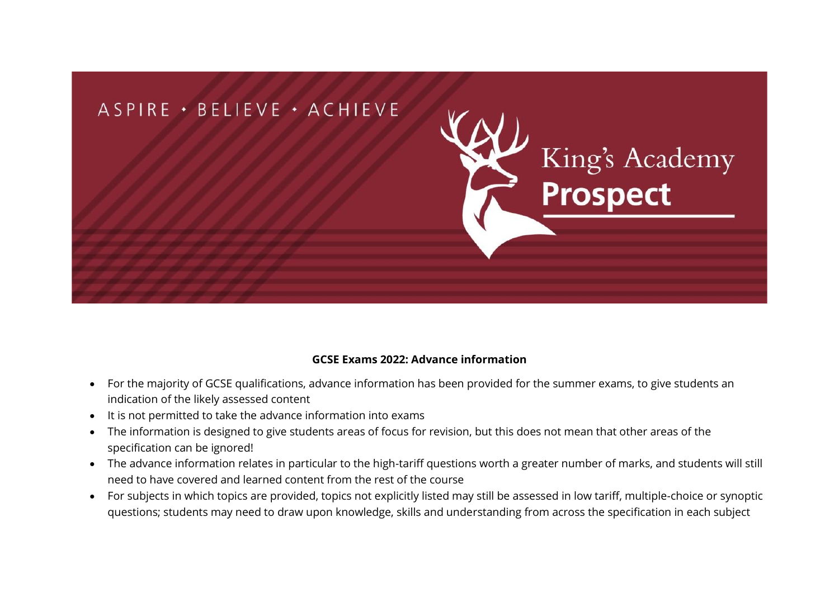

## **GCSE Exams 2022: Advance information**

- For the majority of GCSE qualifications, advance information has been provided for the summer exams, to give students an indication of the likely assessed content
- It is not permitted to take the advance information into exams
- The information is designed to give students areas of focus for revision, but this does not mean that other areas of the specification can be ignored!
- The advance information relates in particular to the high-tariff questions worth a greater number of marks, and students will still need to have covered and learned content from the rest of the course
- For subjects in which topics are provided, topics not explicitly listed may still be assessed in low tariff, multiple-choice or synoptic questions; students may need to draw upon knowledge, skills and understanding from across the specification in each subject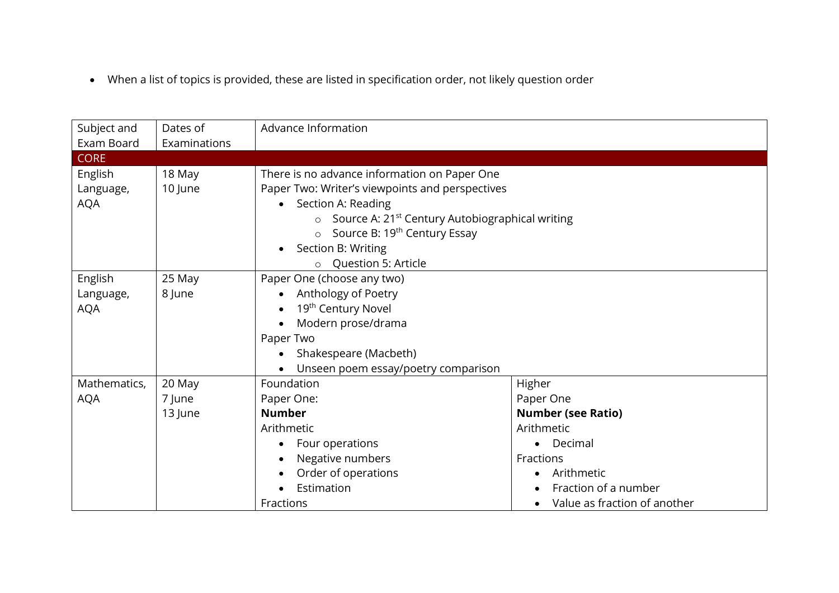• When a list of topics is provided, these are listed in specification order, not likely question order

| Subject and  | Dates of     | Advance Information                                                    |                              |  |
|--------------|--------------|------------------------------------------------------------------------|------------------------------|--|
| Exam Board   | Examinations |                                                                        |                              |  |
| <b>CORE</b>  |              |                                                                        |                              |  |
| English      | 18 May       | There is no advance information on Paper One                           |                              |  |
| Language,    | 10 June      | Paper Two: Writer's viewpoints and perspectives                        |                              |  |
| <b>AQA</b>   |              | Section A: Reading<br>$\bullet$                                        |                              |  |
|              |              | Source A: 21 <sup>st</sup> Century Autobiographical writing<br>$\circ$ |                              |  |
|              |              | Source B: 19 <sup>th</sup> Century Essay                               |                              |  |
|              |              | Section B: Writing                                                     |                              |  |
|              |              | <b>Question 5: Article</b>                                             |                              |  |
| English      | 25 May       | Paper One (choose any two)                                             |                              |  |
| Language,    | 8 June       | Anthology of Poetry<br>$\bullet$                                       |                              |  |
| <b>AQA</b>   |              | 19 <sup>th</sup> Century Novel                                         |                              |  |
|              |              | Modern prose/drama                                                     |                              |  |
|              |              | Paper Two                                                              |                              |  |
|              |              | Shakespeare (Macbeth)                                                  |                              |  |
|              |              | Unseen poem essay/poetry comparison                                    |                              |  |
| Mathematics, | 20 May       | Foundation                                                             | Higher                       |  |
| <b>AQA</b>   | 7 June       | Paper One:                                                             | Paper One                    |  |
|              | 13 June      | <b>Number</b>                                                          | <b>Number (see Ratio)</b>    |  |
|              |              | Arithmetic                                                             | Arithmetic                   |  |
|              |              | Four operations                                                        | Decimal                      |  |
|              |              | Negative numbers                                                       | Fractions                    |  |
|              |              | Order of operations                                                    | Arithmetic                   |  |
|              |              | Estimation                                                             | Fraction of a number         |  |
|              |              | Fractions                                                              | Value as fraction of another |  |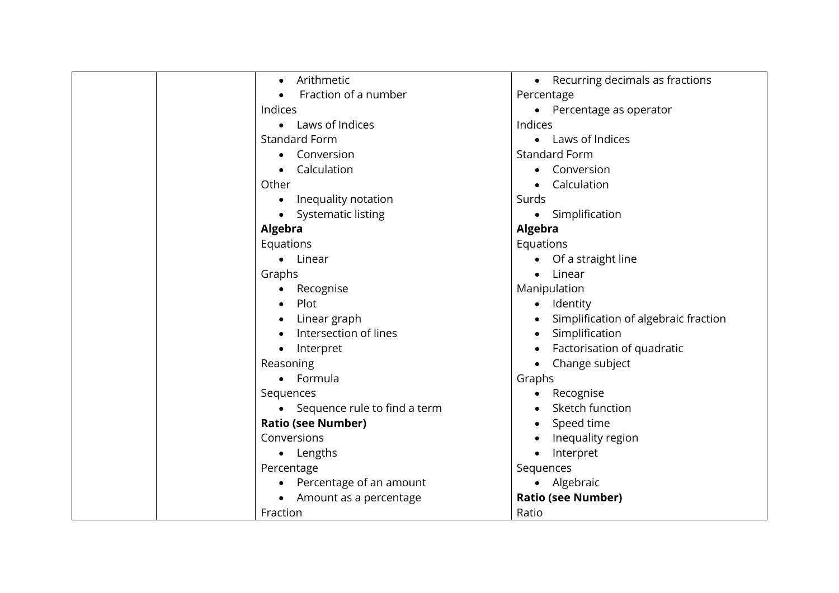| Arithmetic<br>$\bullet$          | Recurring decimals as fractions<br>$\bullet$ |
|----------------------------------|----------------------------------------------|
| Fraction of a number             | Percentage                                   |
| Indices                          | Percentage as operator                       |
| • Laws of Indices                | Indices                                      |
| <b>Standard Form</b>             | Laws of Indices<br>$\bullet$                 |
| Conversion                       | <b>Standard Form</b>                         |
| Calculation                      | Conversion<br>$\bullet$                      |
| Other                            | Calculation<br>$\bullet$                     |
| Inequality notation<br>$\bullet$ | Surds                                        |
| Systematic listing               | Simplification<br>$\bullet$                  |
| <b>Algebra</b>                   | Algebra                                      |
| Equations                        | Equations                                    |
| • Linear                         | Of a straight line<br>$\bullet$              |
| Graphs                           | Linear<br>$\bullet$                          |
| Recognise<br>$\bullet$           | Manipulation                                 |
| Plot                             | Identity<br>$\bullet$                        |
| Linear graph<br>$\bullet$        | Simplification of algebraic fraction         |
| Intersection of lines            | Simplification                               |
| Interpret<br>$\bullet$           | Factorisation of quadratic                   |
| Reasoning                        | Change subject                               |
| • Formula                        | Graphs                                       |
| Sequences                        | Recognise<br>$\bullet$                       |
| • Sequence rule to find a term   | Sketch function                              |
| <b>Ratio (see Number)</b>        | Speed time                                   |
| Conversions                      | Inequality region<br>$\bullet$               |
| • Lengths                        | Interpret                                    |
| Percentage                       | Sequences                                    |
| Percentage of an amount          | Algebraic<br>$\bullet$                       |
| Amount as a percentage           | <b>Ratio (see Number)</b>                    |
| Fraction                         | Ratio                                        |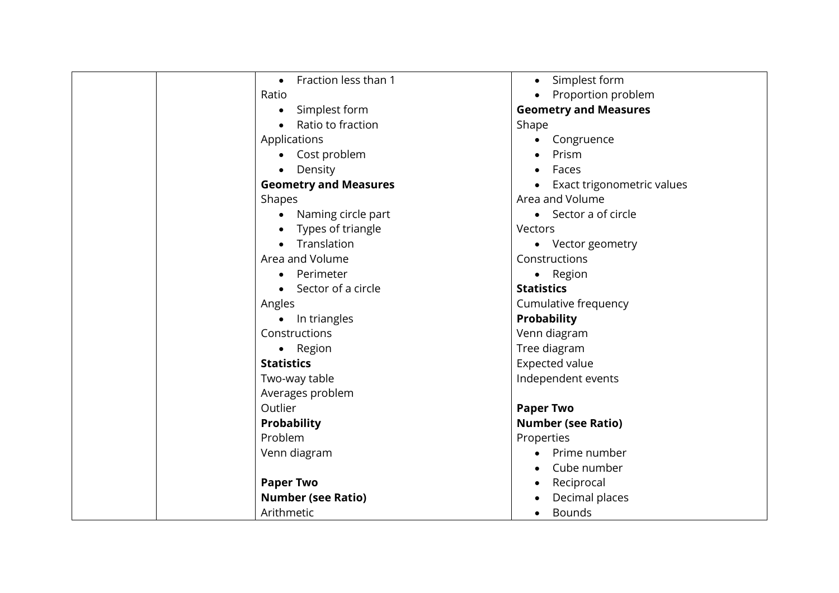| Fraction less than 1<br>$\bullet$ | Simplest form<br>$\bullet$      |
|-----------------------------------|---------------------------------|
| Ratio                             | Proportion problem<br>$\bullet$ |
| Simplest form<br>$\bullet$        | <b>Geometry and Measures</b>    |
| Ratio to fraction                 | Shape                           |
| Applications                      | Congruence<br>$\bullet$         |
| Cost problem                      | Prism                           |
| • Density                         | Faces                           |
| <b>Geometry and Measures</b>      | Exact trigonometric values      |
| Shapes                            | Area and Volume                 |
| Naming circle part                | • Sector a of circle            |
| Types of triangle                 | Vectors                         |
| Translation                       | • Vector geometry               |
| Area and Volume                   | Constructions                   |
| Perimeter                         | • Region                        |
| Sector of a circle                | <b>Statistics</b>               |
| Angles                            | Cumulative frequency            |
| • In triangles                    | <b>Probability</b>              |
| Constructions                     | Venn diagram                    |
| • Region                          | Tree diagram                    |
| <b>Statistics</b>                 | Expected value                  |
| Two-way table                     | Independent events              |
| Averages problem                  |                                 |
| Outlier                           | <b>Paper Two</b>                |
| <b>Probability</b>                | <b>Number (see Ratio)</b>       |
| Problem                           | Properties                      |
| Venn diagram                      | Prime number<br>$\bullet$       |
|                                   | Cube number<br>$\bullet$        |
| <b>Paper Two</b>                  | Reciprocal<br>$\bullet$         |
| <b>Number (see Ratio)</b>         | Decimal places                  |
| Arithmetic                        | <b>Bounds</b><br>$\bullet$      |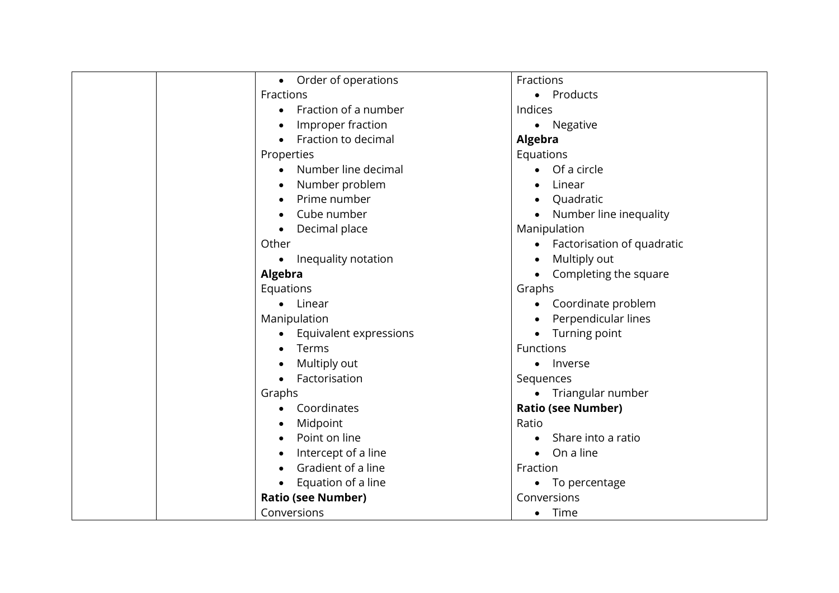| $\bullet$      | Order of operations       | Fractions                  |
|----------------|---------------------------|----------------------------|
| Fractions      |                           | • Products                 |
| ٠              | Fraction of a number      | Indices                    |
|                | Improper fraction         | • Negative                 |
|                | Fraction to decimal       | Algebra                    |
| Properties     |                           | Equations                  |
|                | Number line decimal       | $\bullet$ Of a circle      |
|                | Number problem            | Linear                     |
|                | Prime number              | Quadratic                  |
|                | Cube number               | Number line inequality     |
| $\bullet$      | Decimal place             | Manipulation               |
| Other          |                           | Factorisation of quadratic |
| $\bullet$      | Inequality notation       | Multiply out<br>$\bullet$  |
| <b>Algebra</b> |                           | Completing the square      |
| Equations      |                           | Graphs                     |
|                | • Linear                  | Coordinate problem         |
| Manipulation   |                           | Perpendicular lines        |
|                | Equivalent expressions    | Turning point              |
|                | Terms                     | Functions                  |
|                | Multiply out              | • Inverse                  |
|                | Factorisation             | Sequences                  |
| Graphs         |                           | • Triangular number        |
|                | Coordinates               | <b>Ratio (see Number)</b>  |
|                | Midpoint                  | Ratio                      |
|                | Point on line             | Share into a ratio         |
|                | Intercept of a line       | $\bullet$ On a line        |
|                | Gradient of a line        | Fraction                   |
|                | Equation of a line        | • To percentage            |
|                | <b>Ratio (see Number)</b> | Conversions                |
| Conversions    |                           | Time<br>$\bullet$          |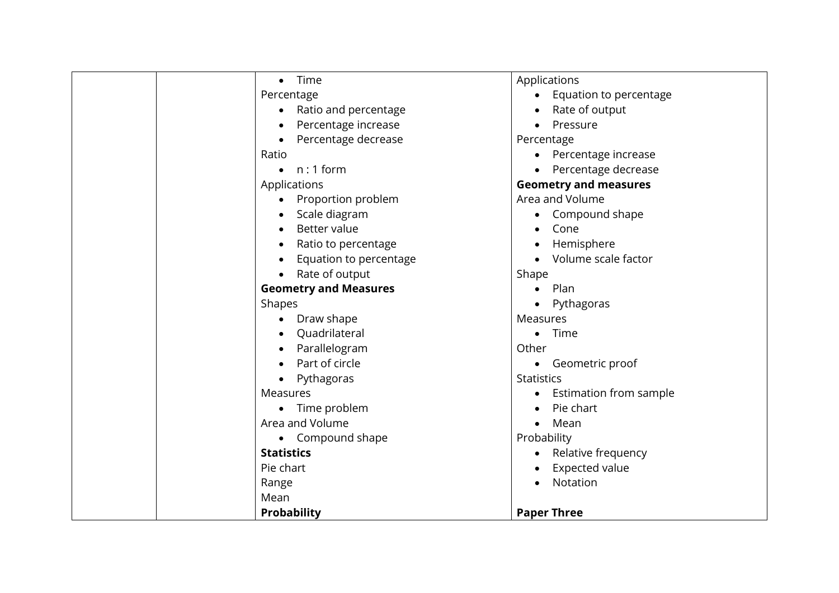| Time<br>$\bullet$            | Applications                        |
|------------------------------|-------------------------------------|
| Percentage                   | Equation to percentage<br>$\bullet$ |
| Ratio and percentage         | Rate of output                      |
| Percentage increase          | Pressure                            |
| Percentage decrease          | Percentage                          |
| Ratio                        | Percentage increase                 |
| $n:1$ form<br>$\bullet$      | Percentage decrease                 |
| Applications                 | <b>Geometry and measures</b>        |
| Proportion problem           | Area and Volume                     |
| Scale diagram                | Compound shape                      |
| Better value                 | Cone                                |
| Ratio to percentage          | Hemisphere                          |
| Equation to percentage       | Volume scale factor                 |
| Rate of output               | Shape                               |
| <b>Geometry and Measures</b> | Plan                                |
| Shapes                       | Pythagoras                          |
| Draw shape<br>$\bullet$      | Measures                            |
| Quadrilateral                | Time                                |
| Parallelogram                | Other                               |
| Part of circle               | Geometric proof<br>$\bullet$        |
| Pythagoras<br>$\bullet$      | <b>Statistics</b>                   |
| Measures                     | Estimation from sample              |
| Time problem<br>$\bullet$    | Pie chart                           |
| Area and Volume              | Mean                                |
| • Compound shape             | Probability                         |
| <b>Statistics</b>            | Relative frequency                  |
| Pie chart                    | <b>Expected value</b>               |
| Range                        | Notation                            |
| Mean                         |                                     |
| Probability                  | <b>Paper Three</b>                  |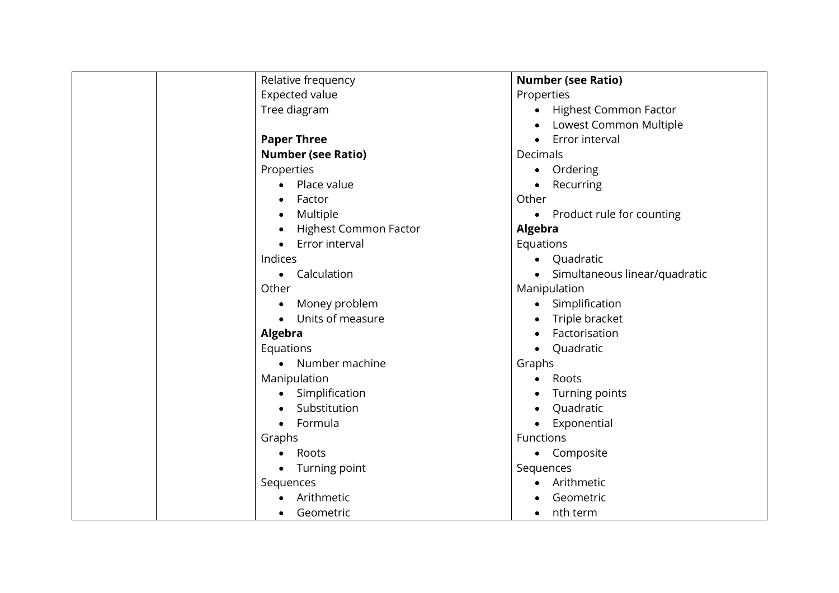| Relative frequency           | <b>Number (see Ratio)</b>              |
|------------------------------|----------------------------------------|
| <b>Expected value</b>        | Properties                             |
| Tree diagram                 | • Highest Common Factor                |
|                              | Lowest Common Multiple                 |
| <b>Paper Three</b>           | • Error interval                       |
| <b>Number (see Ratio)</b>    | Decimals                               |
| Properties                   | Ordering<br>$\bullet$                  |
| Place value                  | Recurring                              |
| Factor                       | Other                                  |
| Multiple                     | Product rule for counting<br>$\bullet$ |
| <b>Highest Common Factor</b> | Algebra                                |
| Error interval               | Equations                              |
| Indices                      | • Quadratic                            |
| Calculation<br>$\bullet$     | • Simultaneous linear/quadratic        |
| Other                        | Manipulation                           |
| Money problem                | Simplification                         |
| Units of measure             | Triple bracket                         |
| <b>Algebra</b>               | Factorisation                          |
| Equations                    | Quadratic                              |
| • Number machine             | Graphs                                 |
| Manipulation                 | Roots<br>$\bullet$                     |
| Simplification               | Turning points                         |
| Substitution                 | Quadratic                              |
| Formula                      | Exponential                            |
| Graphs                       | Functions                              |
| Roots                        | • Composite                            |
| Turning point<br>$\bullet$   | Sequences                              |
| Sequences                    | Arithmetic                             |
| Arithmetic                   | Geometric                              |
| Geometric                    | nth term                               |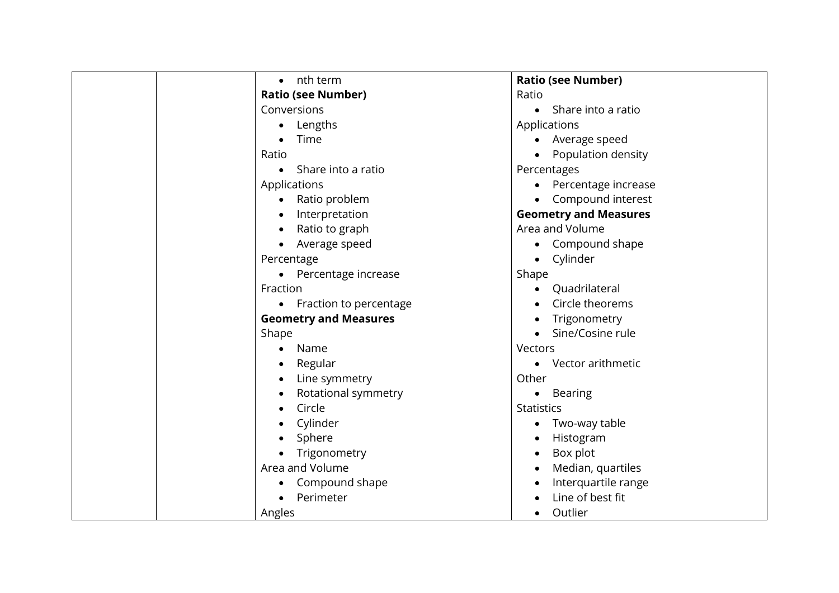| nth term<br>$\bullet$        | <b>Ratio (see Number)</b>        |
|------------------------------|----------------------------------|
| <b>Ratio (see Number)</b>    | Ratio                            |
| Conversions                  | Share into a ratio<br>$\bullet$  |
| Lengths<br>$\bullet$         | Applications                     |
| Time                         | Average speed<br>$\bullet$       |
| Ratio                        | Population density               |
| Share into a ratio           | Percentages                      |
| Applications                 | Percentage increase<br>$\bullet$ |
| Ratio problem                | Compound interest                |
| Interpretation               | <b>Geometry and Measures</b>     |
| Ratio to graph               | Area and Volume                  |
| Average speed                | Compound shape<br>$\bullet$      |
| Percentage                   | Cylinder<br>$\bullet$            |
| Percentage increase          | Shape                            |
| Fraction                     | Quadrilateral<br>$\bullet$       |
| • Fraction to percentage     | Circle theorems                  |
| <b>Geometry and Measures</b> | Trigonometry<br>$\bullet$        |
| Shape                        | Sine/Cosine rule                 |
| Name<br>$\bullet$            | Vectors                          |
| Regular                      | Vector arithmetic<br>$\bullet$   |
| Line symmetry                | Other                            |
| Rotational symmetry          | <b>Bearing</b><br>$\bullet$      |
| Circle                       | <b>Statistics</b>                |
| Cylinder                     | Two-way table<br>$\bullet$       |
| Sphere                       | Histogram<br>$\bullet$           |
| Trigonometry                 | Box plot<br>$\bullet$            |
| Area and Volume              | Median, quartiles<br>$\bullet$   |
| Compound shape               | Interquartile range              |
| Perimeter                    | Line of best fit                 |
| Angles                       | Outlier<br>$\bullet$             |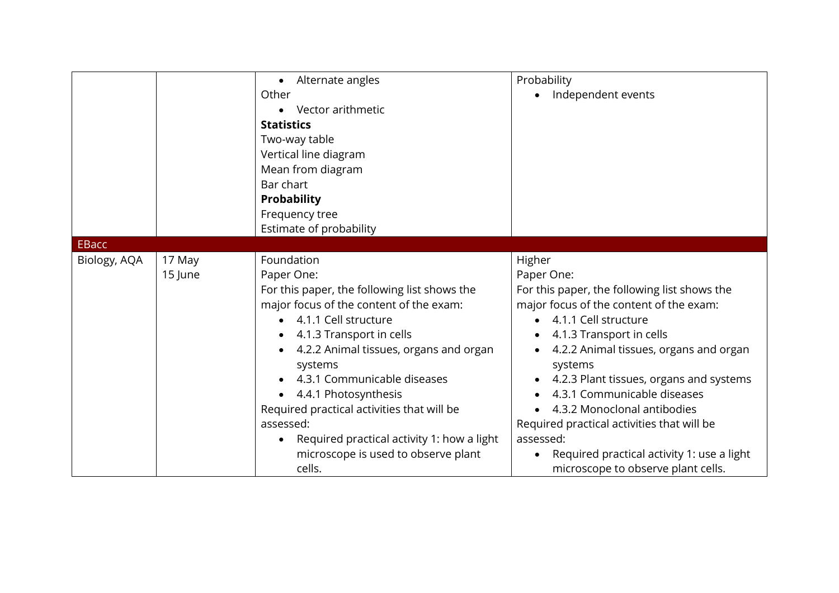|              |                   | • Alternate angles<br>Other<br>Vector arithmetic<br>$\bullet$<br><b>Statistics</b><br>Two-way table<br>Vertical line diagram<br>Mean from diagram<br>Bar chart<br><b>Probability</b>                                                                                                                                                                                                                                                                       | Probability<br>Independent events                                                                                                                                                                                                                                                                                                                                                                                                                                                  |
|--------------|-------------------|------------------------------------------------------------------------------------------------------------------------------------------------------------------------------------------------------------------------------------------------------------------------------------------------------------------------------------------------------------------------------------------------------------------------------------------------------------|------------------------------------------------------------------------------------------------------------------------------------------------------------------------------------------------------------------------------------------------------------------------------------------------------------------------------------------------------------------------------------------------------------------------------------------------------------------------------------|
|              |                   | Frequency tree<br>Estimate of probability                                                                                                                                                                                                                                                                                                                                                                                                                  |                                                                                                                                                                                                                                                                                                                                                                                                                                                                                    |
| <b>EBacc</b> |                   |                                                                                                                                                                                                                                                                                                                                                                                                                                                            |                                                                                                                                                                                                                                                                                                                                                                                                                                                                                    |
| Biology, AQA | 17 May<br>15 June | Foundation<br>Paper One:<br>For this paper, the following list shows the<br>major focus of the content of the exam:<br>4.1.1 Cell structure<br>4.1.3 Transport in cells<br>4.2.2 Animal tissues, organs and organ<br>systems<br>4.3.1 Communicable diseases<br>4.4.1 Photosynthesis<br>Required practical activities that will be<br>assessed:<br>Required practical activity 1: how a light<br>$\bullet$<br>microscope is used to observe plant<br>cells. | Higher<br>Paper One:<br>For this paper, the following list shows the<br>major focus of the content of the exam:<br>• 4.1.1 Cell structure<br>4.1.3 Transport in cells<br>4.2.2 Animal tissues, organs and organ<br>systems<br>4.2.3 Plant tissues, organs and systems<br>4.3.1 Communicable diseases<br>4.3.2 Monoclonal antibodies<br>Required practical activities that will be<br>assessed:<br>Required practical activity 1: use a light<br>microscope to observe plant cells. |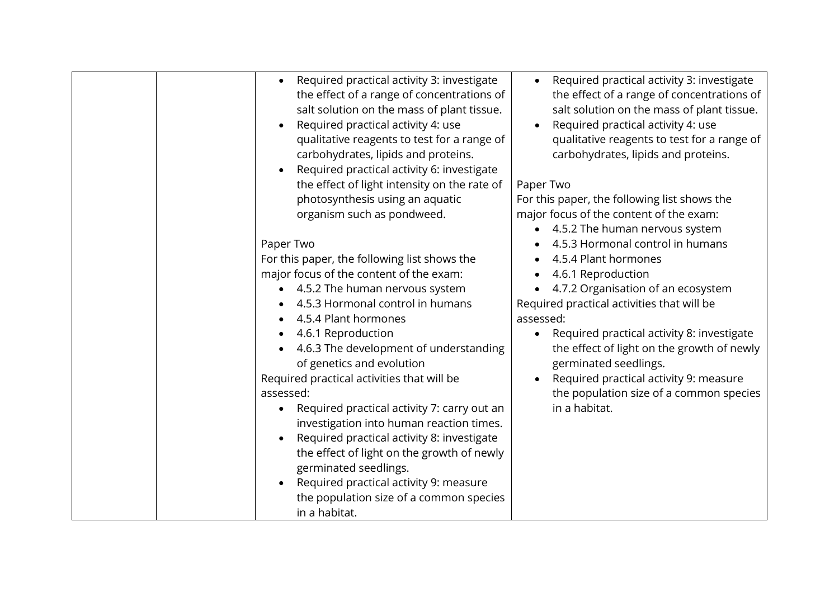| Required practical activity 3: investigate<br>the effect of a range of concentrations of<br>salt solution on the mass of plant tissue.<br>Required practical activity 4: use<br>$\bullet$<br>qualitative reagents to test for a range of<br>carbohydrates, lipids and proteins.<br>Required practical activity 6: investigate<br>the effect of light intensity on the rate of<br>photosynthesis using an aquatic<br>organism such as pondweed.<br>Paper Two<br>For this paper, the following list shows the<br>major focus of the content of the exam:<br>4.5.2 The human nervous system<br>4.5.3 Hormonal control in humans<br>4.5.4 Plant hormones<br>4.6.1 Reproduction<br>4.6.3 The development of understanding<br>of genetics and evolution<br>Required practical activities that will be<br>assessed:<br>Required practical activity 7: carry out an<br>$\bullet$<br>investigation into human reaction times.<br>Required practical activity 8: investigate<br>$\bullet$<br>the effect of light on the growth of newly<br>germinated seedlings.<br>Required practical activity 9: measure<br>the population size of a common species | Required practical activity 3: investigate<br>the effect of a range of concentrations of<br>salt solution on the mass of plant tissue.<br>Required practical activity 4: use<br>qualitative reagents to test for a range of<br>carbohydrates, lipids and proteins.<br>Paper Two<br>For this paper, the following list shows the<br>major focus of the content of the exam:<br>• 4.5.2 The human nervous system<br>4.5.3 Hormonal control in humans<br>4.5.4 Plant hormones<br>4.6.1 Reproduction<br>4.7.2 Organisation of an ecosystem<br>Required practical activities that will be<br>assessed:<br>Required practical activity 8: investigate<br>the effect of light on the growth of newly<br>germinated seedlings.<br>Required practical activity 9: measure<br>the population size of a common species<br>in a habitat. |
|---------------------------------------------------------------------------------------------------------------------------------------------------------------------------------------------------------------------------------------------------------------------------------------------------------------------------------------------------------------------------------------------------------------------------------------------------------------------------------------------------------------------------------------------------------------------------------------------------------------------------------------------------------------------------------------------------------------------------------------------------------------------------------------------------------------------------------------------------------------------------------------------------------------------------------------------------------------------------------------------------------------------------------------------------------------------------------------------------------------------------------------------|------------------------------------------------------------------------------------------------------------------------------------------------------------------------------------------------------------------------------------------------------------------------------------------------------------------------------------------------------------------------------------------------------------------------------------------------------------------------------------------------------------------------------------------------------------------------------------------------------------------------------------------------------------------------------------------------------------------------------------------------------------------------------------------------------------------------------|
| in a habitat.                                                                                                                                                                                                                                                                                                                                                                                                                                                                                                                                                                                                                                                                                                                                                                                                                                                                                                                                                                                                                                                                                                                               |                                                                                                                                                                                                                                                                                                                                                                                                                                                                                                                                                                                                                                                                                                                                                                                                                              |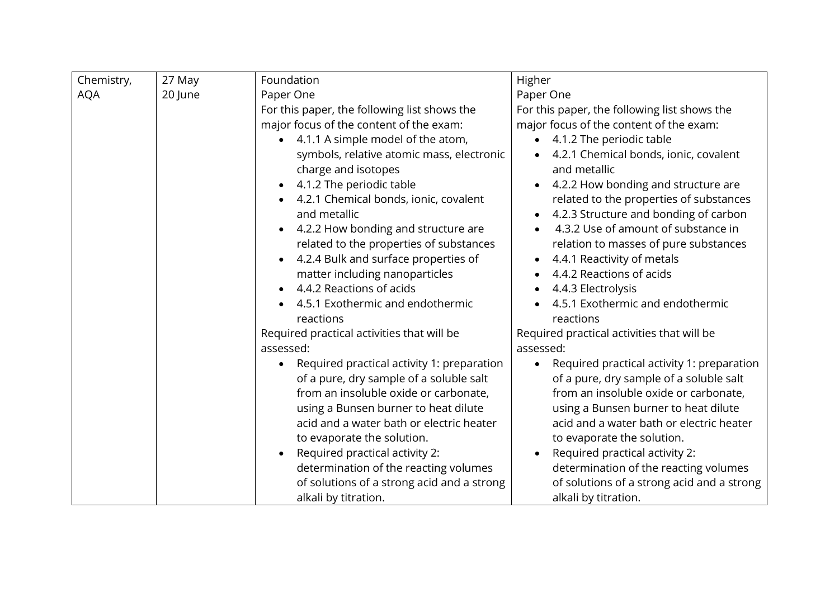| Chemistry, | 27 May  | Foundation                                              | Higher                                                  |
|------------|---------|---------------------------------------------------------|---------------------------------------------------------|
| <b>AQA</b> | 20 June | Paper One                                               | Paper One                                               |
|            |         | For this paper, the following list shows the            | For this paper, the following list shows the            |
|            |         | major focus of the content of the exam:                 | major focus of the content of the exam:                 |
|            |         | • 4.1.1 A simple model of the atom,                     | 4.1.2 The periodic table                                |
|            |         | symbols, relative atomic mass, electronic               | 4.2.1 Chemical bonds, ionic, covalent                   |
|            |         | charge and isotopes                                     | and metallic                                            |
|            |         | 4.1.2 The periodic table<br>$\bullet$                   | 4.2.2 How bonding and structure are                     |
|            |         | 4.2.1 Chemical bonds, ionic, covalent<br>$\bullet$      | related to the properties of substances                 |
|            |         | and metallic                                            | 4.2.3 Structure and bonding of carbon                   |
|            |         | 4.2.2 How bonding and structure are<br>$\bullet$        | 4.3.2 Use of amount of substance in                     |
|            |         | related to the properties of substances                 | relation to masses of pure substances                   |
|            |         | 4.2.4 Bulk and surface properties of<br>$\bullet$       | 4.4.1 Reactivity of metals<br>$\bullet$                 |
|            |         | matter including nanoparticles                          | 4.4.2 Reactions of acids                                |
|            |         | 4.4.2 Reactions of acids<br>$\bullet$                   | 4.4.3 Electrolysis                                      |
|            |         | 4.5.1 Exothermic and endothermic                        | 4.5.1 Exothermic and endothermic                        |
|            |         | reactions                                               | reactions                                               |
|            |         | Required practical activities that will be              | Required practical activities that will be              |
|            |         | assessed:                                               | assessed:                                               |
|            |         | Required practical activity 1: preparation<br>$\bullet$ | Required practical activity 1: preparation<br>$\bullet$ |
|            |         | of a pure, dry sample of a soluble salt                 | of a pure, dry sample of a soluble salt                 |
|            |         | from an insoluble oxide or carbonate,                   | from an insoluble oxide or carbonate,                   |
|            |         | using a Bunsen burner to heat dilute                    | using a Bunsen burner to heat dilute                    |
|            |         | acid and a water bath or electric heater                | acid and a water bath or electric heater                |
|            |         | to evaporate the solution.                              | to evaporate the solution.                              |
|            |         | Required practical activity 2:<br>$\bullet$             | Required practical activity 2:                          |
|            |         | determination of the reacting volumes                   | determination of the reacting volumes                   |
|            |         | of solutions of a strong acid and a strong              | of solutions of a strong acid and a strong              |
|            |         | alkali by titration.                                    | alkali by titration.                                    |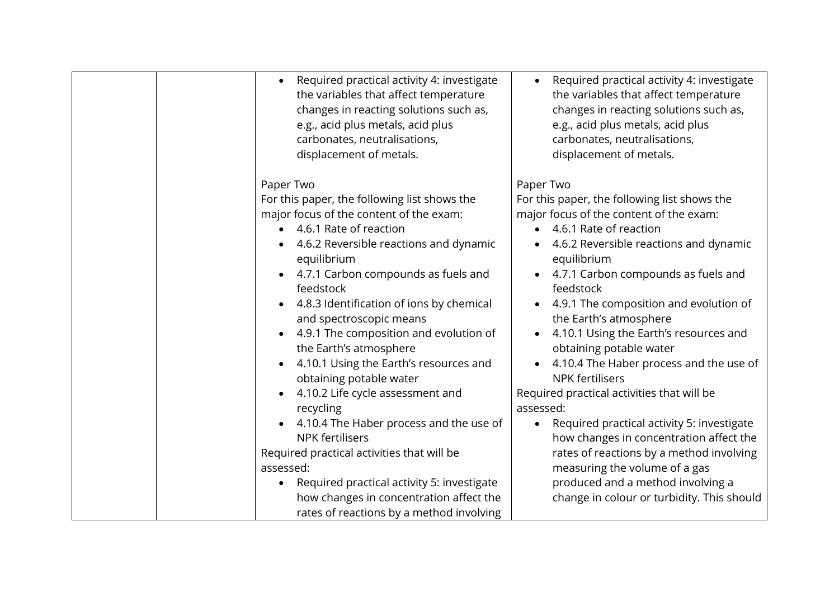| Required practical activity 4: investigate<br>the variables that affect temperature<br>changes in reacting solutions such as,<br>e.g., acid plus metals, acid plus<br>carbonates, neutralisations,<br>displacement of metals.<br>Paper Two<br>For this paper, the following list shows the | Required practical activity 4: investigate<br>the variables that affect temperature<br>changes in reacting solutions such as,<br>e.g., acid plus metals, acid plus<br>carbonates, neutralisations,<br>displacement of metals.<br>Paper Two<br>For this paper, the following list shows the |
|--------------------------------------------------------------------------------------------------------------------------------------------------------------------------------------------------------------------------------------------------------------------------------------------|--------------------------------------------------------------------------------------------------------------------------------------------------------------------------------------------------------------------------------------------------------------------------------------------|
| major focus of the content of the exam:                                                                                                                                                                                                                                                    | major focus of the content of the exam:                                                                                                                                                                                                                                                    |
| 4.6.1 Rate of reaction                                                                                                                                                                                                                                                                     | 4.6.1 Rate of reaction<br>$\bullet$                                                                                                                                                                                                                                                        |
| 4.6.2 Reversible reactions and dynamic<br>equilibrium                                                                                                                                                                                                                                      | 4.6.2 Reversible reactions and dynamic<br>equilibrium                                                                                                                                                                                                                                      |
| 4.7.1 Carbon compounds as fuels and<br>feedstock                                                                                                                                                                                                                                           | 4.7.1 Carbon compounds as fuels and<br>feedstock                                                                                                                                                                                                                                           |
| 4.8.3 Identification of ions by chemical<br>and spectroscopic means                                                                                                                                                                                                                        | 4.9.1 The composition and evolution of<br>the Earth's atmosphere                                                                                                                                                                                                                           |
| 4.9.1 The composition and evolution of<br>the Earth's atmosphere                                                                                                                                                                                                                           | 4.10.1 Using the Earth's resources and<br>obtaining potable water                                                                                                                                                                                                                          |
| 4.10.1 Using the Earth's resources and<br>obtaining potable water                                                                                                                                                                                                                          | 4.10.4 The Haber process and the use of<br><b>NPK fertilisers</b>                                                                                                                                                                                                                          |
| 4.10.2 Life cycle assessment and                                                                                                                                                                                                                                                           | Required practical activities that will be                                                                                                                                                                                                                                                 |
| recycling                                                                                                                                                                                                                                                                                  | assessed:                                                                                                                                                                                                                                                                                  |
| 4.10.4 The Haber process and the use of                                                                                                                                                                                                                                                    | Required practical activity 5: investigate<br>$\bullet$                                                                                                                                                                                                                                    |
| <b>NPK fertilisers</b>                                                                                                                                                                                                                                                                     | how changes in concentration affect the                                                                                                                                                                                                                                                    |
| Required practical activities that will be                                                                                                                                                                                                                                                 | rates of reactions by a method involving                                                                                                                                                                                                                                                   |
| assessed:                                                                                                                                                                                                                                                                                  | measuring the volume of a gas                                                                                                                                                                                                                                                              |
| Required practical activity 5: investigate<br>$\bullet$                                                                                                                                                                                                                                    | produced and a method involving a                                                                                                                                                                                                                                                          |
| how changes in concentration affect the                                                                                                                                                                                                                                                    | change in colour or turbidity. This should                                                                                                                                                                                                                                                 |
| rates of reactions by a method involving                                                                                                                                                                                                                                                   |                                                                                                                                                                                                                                                                                            |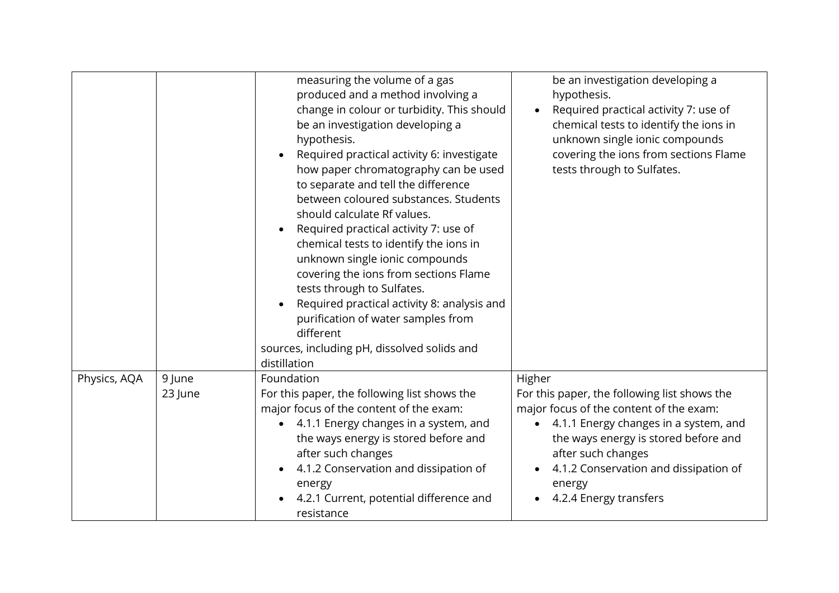|              |         | measuring the volume of a gas<br>produced and a method involving a<br>change in colour or turbidity. This should<br>be an investigation developing a<br>hypothesis.<br>Required practical activity 6: investigate<br>$\bullet$<br>how paper chromatography can be used<br>to separate and tell the difference<br>between coloured substances. Students<br>should calculate Rf values.<br>Required practical activity 7: use of<br>$\bullet$<br>chemical tests to identify the ions in<br>unknown single ionic compounds<br>covering the ions from sections Flame<br>tests through to Sulfates.<br>Required practical activity 8: analysis and<br>purification of water samples from<br>different<br>sources, including pH, dissolved solids and<br>distillation | be an investigation developing a<br>hypothesis.<br>Required practical activity 7: use of<br>chemical tests to identify the ions in<br>unknown single ionic compounds<br>covering the ions from sections Flame<br>tests through to Sulfates.                                   |
|--------------|---------|-----------------------------------------------------------------------------------------------------------------------------------------------------------------------------------------------------------------------------------------------------------------------------------------------------------------------------------------------------------------------------------------------------------------------------------------------------------------------------------------------------------------------------------------------------------------------------------------------------------------------------------------------------------------------------------------------------------------------------------------------------------------|-------------------------------------------------------------------------------------------------------------------------------------------------------------------------------------------------------------------------------------------------------------------------------|
| Physics, AQA | 9 June  | Foundation                                                                                                                                                                                                                                                                                                                                                                                                                                                                                                                                                                                                                                                                                                                                                      | Higher                                                                                                                                                                                                                                                                        |
|              | 23 June | For this paper, the following list shows the<br>major focus of the content of the exam:<br>4.1.1 Energy changes in a system, and<br>the ways energy is stored before and<br>after such changes<br>4.1.2 Conservation and dissipation of<br>energy<br>4.2.1 Current, potential difference and<br>resistance                                                                                                                                                                                                                                                                                                                                                                                                                                                      | For this paper, the following list shows the<br>major focus of the content of the exam:<br>• 4.1.1 Energy changes in a system, and<br>the ways energy is stored before and<br>after such changes<br>4.1.2 Conservation and dissipation of<br>energy<br>4.2.4 Energy transfers |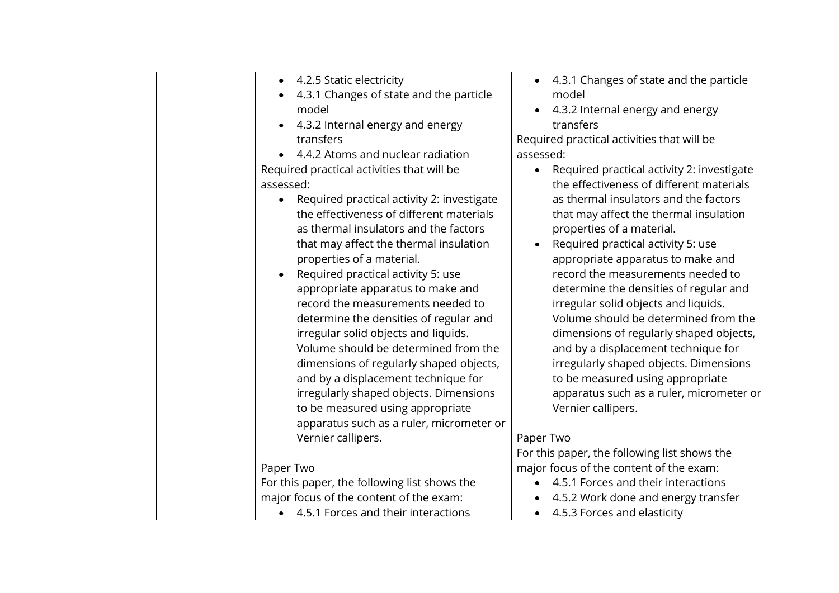| • 4.2.5 Static electricity                              | • 4.3.1 Changes of state and the particle               |
|---------------------------------------------------------|---------------------------------------------------------|
| 4.3.1 Changes of state and the particle                 | model                                                   |
| model                                                   | 4.3.2 Internal energy and energy                        |
| 4.3.2 Internal energy and energy                        | transfers                                               |
| transfers                                               | Required practical activities that will be              |
| 4.4.2 Atoms and nuclear radiation                       | assessed:                                               |
| Required practical activities that will be              | Required practical activity 2: investigate<br>$\bullet$ |
| assessed:                                               | the effectiveness of different materials                |
| Required practical activity 2: investigate<br>$\bullet$ | as thermal insulators and the factors                   |
| the effectiveness of different materials                | that may affect the thermal insulation                  |
| as thermal insulators and the factors                   | properties of a material.                               |
| that may affect the thermal insulation                  | Required practical activity 5: use                      |
| properties of a material.                               | appropriate apparatus to make and                       |
| Required practical activity 5: use                      | record the measurements needed to                       |
| appropriate apparatus to make and                       | determine the densities of regular and                  |
| record the measurements needed to                       | irregular solid objects and liquids.                    |
| determine the densities of regular and                  | Volume should be determined from the                    |
| irregular solid objects and liquids.                    | dimensions of regularly shaped objects,                 |
| Volume should be determined from the                    | and by a displacement technique for                     |
| dimensions of regularly shaped objects,                 | irregularly shaped objects. Dimensions                  |
| and by a displacement technique for                     | to be measured using appropriate                        |
| irregularly shaped objects. Dimensions                  | apparatus such as a ruler, micrometer or                |
| to be measured using appropriate                        | Vernier callipers.                                      |
| apparatus such as a ruler, micrometer or                |                                                         |
| Vernier callipers.                                      | Paper Two                                               |
|                                                         | For this paper, the following list shows the            |
| Paper Two                                               | major focus of the content of the exam:                 |
| For this paper, the following list shows the            | 4.5.1 Forces and their interactions                     |
| major focus of the content of the exam:                 | 4.5.2 Work done and energy transfer                     |
| • 4.5.1 Forces and their interactions                   | 4.5.3 Forces and elasticity                             |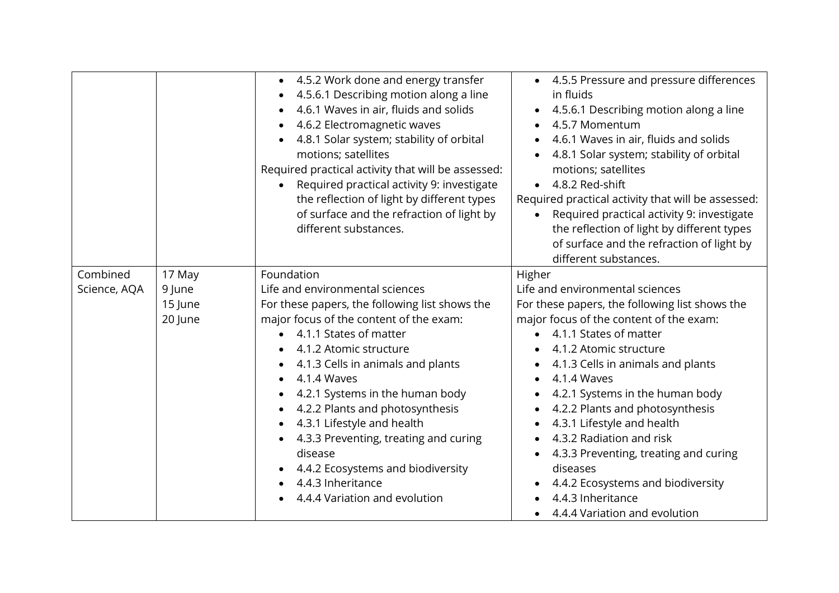|              |                              | 4.5.2 Work done and energy transfer<br>$\bullet$<br>4.5.6.1 Describing motion along a line<br>4.6.1 Waves in air, fluids and solids<br>4.6.2 Electromagnetic waves<br>4.8.1 Solar system; stability of orbital<br>$\bullet$<br>motions; satellites<br>Required practical activity that will be assessed:<br>Required practical activity 9: investigate<br>the reflection of light by different types<br>of surface and the refraction of light by<br>different substances. | • 4.5.5 Pressure and pressure differences<br>in fluids<br>• 4.5.6.1 Describing motion along a line<br>4.5.7 Momentum<br>4.6.1 Waves in air, fluids and solids<br>4.8.1 Solar system; stability of orbital<br>motions; satellites<br>4.8.2 Red-shift<br>Required practical activity that will be assessed:<br>Required practical activity 9: investigate<br>the reflection of light by different types<br>of surface and the refraction of light by<br>different substances. |
|--------------|------------------------------|----------------------------------------------------------------------------------------------------------------------------------------------------------------------------------------------------------------------------------------------------------------------------------------------------------------------------------------------------------------------------------------------------------------------------------------------------------------------------|-----------------------------------------------------------------------------------------------------------------------------------------------------------------------------------------------------------------------------------------------------------------------------------------------------------------------------------------------------------------------------------------------------------------------------------------------------------------------------|
| Science, AQA | 9 June<br>15 June<br>20 June | Life and environmental sciences<br>For these papers, the following list shows the<br>major focus of the content of the exam:<br>4.1.1 States of matter<br>$\bullet$<br>4.1.2 Atomic structure<br>4.1.3 Cells in animals and plants<br>4.1.4 Waves<br>4.2.1 Systems in the human body                                                                                                                                                                                       | Life and environmental sciences<br>For these papers, the following list shows the<br>major focus of the content of the exam:<br>4.1.1 States of matter<br>4.1.2 Atomic structure<br>4.1.3 Cells in animals and plants<br>4.1.4 Waves<br>4.2.1 Systems in the human body                                                                                                                                                                                                     |
|              |                              | 4.2.2 Plants and photosynthesis<br>$\bullet$<br>4.3.1 Lifestyle and health<br>$\bullet$<br>4.3.3 Preventing, treating and curing<br>disease<br>4.4.2 Ecosystems and biodiversity<br>4.4.3 Inheritance<br>4.4.4 Variation and evolution                                                                                                                                                                                                                                     | 4.2.2 Plants and photosynthesis<br>4.3.1 Lifestyle and health<br>4.3.2 Radiation and risk<br>4.3.3 Preventing, treating and curing<br>diseases<br>4.4.2 Ecosystems and biodiversity<br>4.4.3 Inheritance<br>4.4.4 Variation and evolution                                                                                                                                                                                                                                   |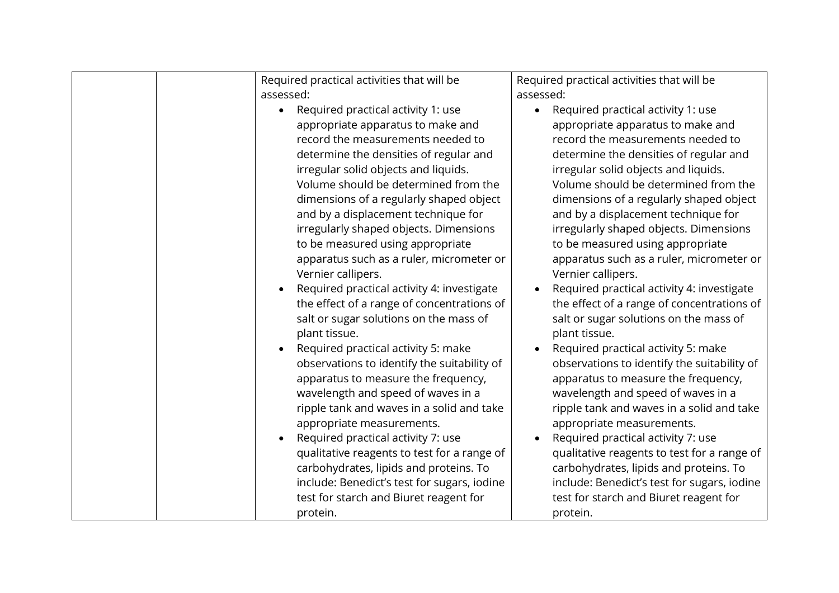|  | Required practical activities that will be              | Required practical activities that will be  |
|--|---------------------------------------------------------|---------------------------------------------|
|  | assessed:                                               | assessed:                                   |
|  | Required practical activity 1: use<br>$\bullet$         | • Required practical activity 1: use        |
|  | appropriate apparatus to make and                       | appropriate apparatus to make and           |
|  | record the measurements needed to                       | record the measurements needed to           |
|  |                                                         |                                             |
|  | determine the densities of regular and                  | determine the densities of regular and      |
|  | irregular solid objects and liquids.                    | irregular solid objects and liquids.        |
|  | Volume should be determined from the                    | Volume should be determined from the        |
|  | dimensions of a regularly shaped object                 | dimensions of a regularly shaped object     |
|  | and by a displacement technique for                     | and by a displacement technique for         |
|  | irregularly shaped objects. Dimensions                  | irregularly shaped objects. Dimensions      |
|  | to be measured using appropriate                        | to be measured using appropriate            |
|  | apparatus such as a ruler, micrometer or                | apparatus such as a ruler, micrometer or    |
|  | Vernier callipers.                                      | Vernier callipers.                          |
|  | Required practical activity 4: investigate<br>$\bullet$ | Required practical activity 4: investigate  |
|  | the effect of a range of concentrations of              | the effect of a range of concentrations of  |
|  | salt or sugar solutions on the mass of                  | salt or sugar solutions on the mass of      |
|  | plant tissue.                                           | plant tissue.                               |
|  | Required practical activity 5: make<br>$\bullet$        | Required practical activity 5: make         |
|  | observations to identify the suitability of             | observations to identify the suitability of |
|  | apparatus to measure the frequency,                     | apparatus to measure the frequency,         |
|  |                                                         |                                             |
|  | wavelength and speed of waves in a                      | wavelength and speed of waves in a          |
|  | ripple tank and waves in a solid and take               | ripple tank and waves in a solid and take   |
|  | appropriate measurements.                               | appropriate measurements.                   |
|  | Required practical activity 7: use<br>$\bullet$         | Required practical activity 7: use          |
|  | qualitative reagents to test for a range of             | qualitative reagents to test for a range of |
|  | carbohydrates, lipids and proteins. To                  | carbohydrates, lipids and proteins. To      |
|  | include: Benedict's test for sugars, iodine             | include: Benedict's test for sugars, iodine |
|  | test for starch and Biuret reagent for                  | test for starch and Biuret reagent for      |
|  | protein.                                                | protein.                                    |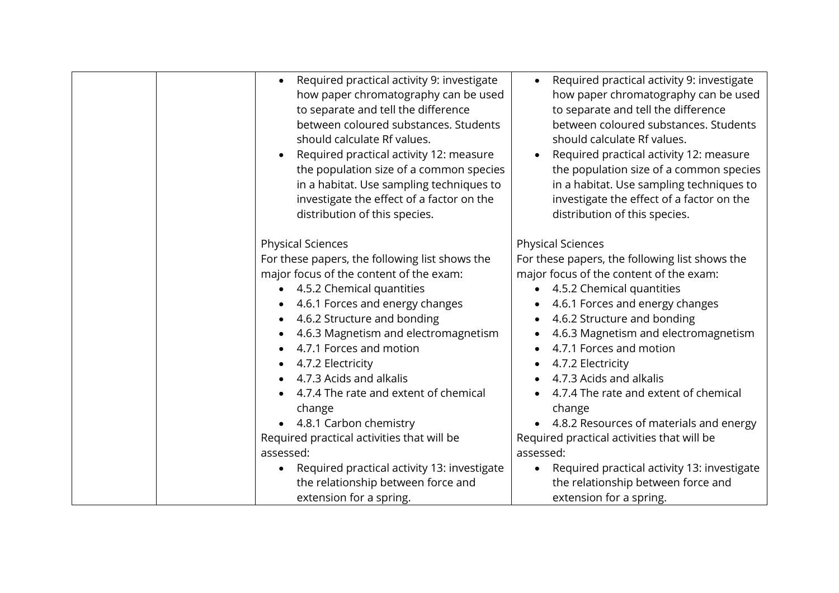| Required practical activity 9: investigate<br>$\bullet$<br>how paper chromatography can be used<br>to separate and tell the difference<br>between coloured substances. Students<br>should calculate Rf values.<br>Required practical activity 12: measure<br>the population size of a common species<br>in a habitat. Use sampling techniques to<br>investigate the effect of a factor on the<br>distribution of this species. | Required practical activity 9: investigate<br>how paper chromatography can be used<br>to separate and tell the difference<br>between coloured substances. Students<br>should calculate Rf values.<br>Required practical activity 12: measure<br>the population size of a common species<br>in a habitat. Use sampling techniques to<br>investigate the effect of a factor on the<br>distribution of this species. |
|--------------------------------------------------------------------------------------------------------------------------------------------------------------------------------------------------------------------------------------------------------------------------------------------------------------------------------------------------------------------------------------------------------------------------------|-------------------------------------------------------------------------------------------------------------------------------------------------------------------------------------------------------------------------------------------------------------------------------------------------------------------------------------------------------------------------------------------------------------------|
| <b>Physical Sciences</b><br>For these papers, the following list shows the                                                                                                                                                                                                                                                                                                                                                     | <b>Physical Sciences</b><br>For these papers, the following list shows the                                                                                                                                                                                                                                                                                                                                        |
| major focus of the content of the exam:                                                                                                                                                                                                                                                                                                                                                                                        | major focus of the content of the exam:                                                                                                                                                                                                                                                                                                                                                                           |
| • 4.5.2 Chemical quantities                                                                                                                                                                                                                                                                                                                                                                                                    | • 4.5.2 Chemical quantities                                                                                                                                                                                                                                                                                                                                                                                       |
| 4.6.1 Forces and energy changes                                                                                                                                                                                                                                                                                                                                                                                                | 4.6.1 Forces and energy changes                                                                                                                                                                                                                                                                                                                                                                                   |
| 4.6.2 Structure and bonding                                                                                                                                                                                                                                                                                                                                                                                                    | 4.6.2 Structure and bonding                                                                                                                                                                                                                                                                                                                                                                                       |
| 4.6.3 Magnetism and electromagnetism                                                                                                                                                                                                                                                                                                                                                                                           | 4.6.3 Magnetism and electromagnetism                                                                                                                                                                                                                                                                                                                                                                              |
| 4.7.1 Forces and motion                                                                                                                                                                                                                                                                                                                                                                                                        | 4.7.1 Forces and motion                                                                                                                                                                                                                                                                                                                                                                                           |
| 4.7.2 Electricity                                                                                                                                                                                                                                                                                                                                                                                                              | 4.7.2 Electricity                                                                                                                                                                                                                                                                                                                                                                                                 |
| 4.7.3 Acids and alkalis                                                                                                                                                                                                                                                                                                                                                                                                        | 4.7.3 Acids and alkalis                                                                                                                                                                                                                                                                                                                                                                                           |
| 4.7.4 The rate and extent of chemical                                                                                                                                                                                                                                                                                                                                                                                          | 4.7.4 The rate and extent of chemical                                                                                                                                                                                                                                                                                                                                                                             |
| change                                                                                                                                                                                                                                                                                                                                                                                                                         | change                                                                                                                                                                                                                                                                                                                                                                                                            |
| 4.8.1 Carbon chemistry                                                                                                                                                                                                                                                                                                                                                                                                         | • 4.8.2 Resources of materials and energy                                                                                                                                                                                                                                                                                                                                                                         |
| Required practical activities that will be                                                                                                                                                                                                                                                                                                                                                                                     | Required practical activities that will be                                                                                                                                                                                                                                                                                                                                                                        |
| assessed:                                                                                                                                                                                                                                                                                                                                                                                                                      | assessed:                                                                                                                                                                                                                                                                                                                                                                                                         |
| Required practical activity 13: investigate                                                                                                                                                                                                                                                                                                                                                                                    | Required practical activity 13: investigate<br>$\bullet$                                                                                                                                                                                                                                                                                                                                                          |
| the relationship between force and                                                                                                                                                                                                                                                                                                                                                                                             | the relationship between force and                                                                                                                                                                                                                                                                                                                                                                                |
| extension for a spring.                                                                                                                                                                                                                                                                                                                                                                                                        | extension for a spring.                                                                                                                                                                                                                                                                                                                                                                                           |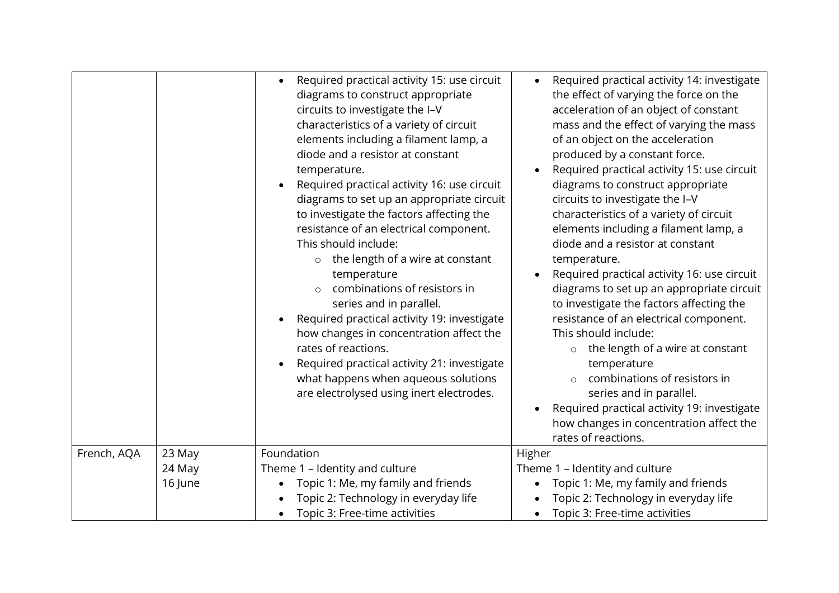|             |         | Required practical activity 15: use circuit<br>diagrams to construct appropriate<br>circuits to investigate the I-V<br>characteristics of a variety of circuit<br>elements including a filament lamp, a<br>diode and a resistor at constant<br>temperature.<br>Required practical activity 16: use circuit<br>diagrams to set up an appropriate circuit<br>to investigate the factors affecting the<br>resistance of an electrical component.<br>This should include:<br>the length of a wire at constant<br>$\circ$<br>temperature<br>combinations of resistors in<br>series and in parallel.<br>Required practical activity 19: investigate<br>how changes in concentration affect the<br>rates of reactions.<br>Required practical activity 21: investigate<br>what happens when aqueous solutions<br>are electrolysed using inert electrodes. | Required practical activity 14: investigate<br>the effect of varying the force on the<br>acceleration of an object of constant<br>mass and the effect of varying the mass<br>of an object on the acceleration<br>produced by a constant force.<br>Required practical activity 15: use circuit<br>diagrams to construct appropriate<br>circuits to investigate the I-V<br>characteristics of a variety of circuit<br>elements including a filament lamp, a<br>diode and a resistor at constant<br>temperature.<br>Required practical activity 16: use circuit<br>diagrams to set up an appropriate circuit<br>to investigate the factors affecting the<br>resistance of an electrical component.<br>This should include:<br>the length of a wire at constant<br>$\circ$<br>temperature<br>combinations of resistors in<br>series and in parallel.<br>Required practical activity 19: investigate<br>how changes in concentration affect the<br>rates of reactions. |
|-------------|---------|---------------------------------------------------------------------------------------------------------------------------------------------------------------------------------------------------------------------------------------------------------------------------------------------------------------------------------------------------------------------------------------------------------------------------------------------------------------------------------------------------------------------------------------------------------------------------------------------------------------------------------------------------------------------------------------------------------------------------------------------------------------------------------------------------------------------------------------------------|-------------------------------------------------------------------------------------------------------------------------------------------------------------------------------------------------------------------------------------------------------------------------------------------------------------------------------------------------------------------------------------------------------------------------------------------------------------------------------------------------------------------------------------------------------------------------------------------------------------------------------------------------------------------------------------------------------------------------------------------------------------------------------------------------------------------------------------------------------------------------------------------------------------------------------------------------------------------|
| French, AQA | 23 May  | Foundation                                                                                                                                                                                                                                                                                                                                                                                                                                                                                                                                                                                                                                                                                                                                                                                                                                        | Higher                                                                                                                                                                                                                                                                                                                                                                                                                                                                                                                                                                                                                                                                                                                                                                                                                                                                                                                                                            |
|             | 24 May  | Theme 1 - Identity and culture                                                                                                                                                                                                                                                                                                                                                                                                                                                                                                                                                                                                                                                                                                                                                                                                                    | Theme 1 - Identity and culture                                                                                                                                                                                                                                                                                                                                                                                                                                                                                                                                                                                                                                                                                                                                                                                                                                                                                                                                    |
|             | 16 June | Topic 1: Me, my family and friends                                                                                                                                                                                                                                                                                                                                                                                                                                                                                                                                                                                                                                                                                                                                                                                                                | Topic 1: Me, my family and friends                                                                                                                                                                                                                                                                                                                                                                                                                                                                                                                                                                                                                                                                                                                                                                                                                                                                                                                                |
|             |         | Topic 2: Technology in everyday life                                                                                                                                                                                                                                                                                                                                                                                                                                                                                                                                                                                                                                                                                                                                                                                                              | Topic 2: Technology in everyday life                                                                                                                                                                                                                                                                                                                                                                                                                                                                                                                                                                                                                                                                                                                                                                                                                                                                                                                              |
|             |         | Topic 3: Free-time activities                                                                                                                                                                                                                                                                                                                                                                                                                                                                                                                                                                                                                                                                                                                                                                                                                     | Topic 3: Free-time activities                                                                                                                                                                                                                                                                                                                                                                                                                                                                                                                                                                                                                                                                                                                                                                                                                                                                                                                                     |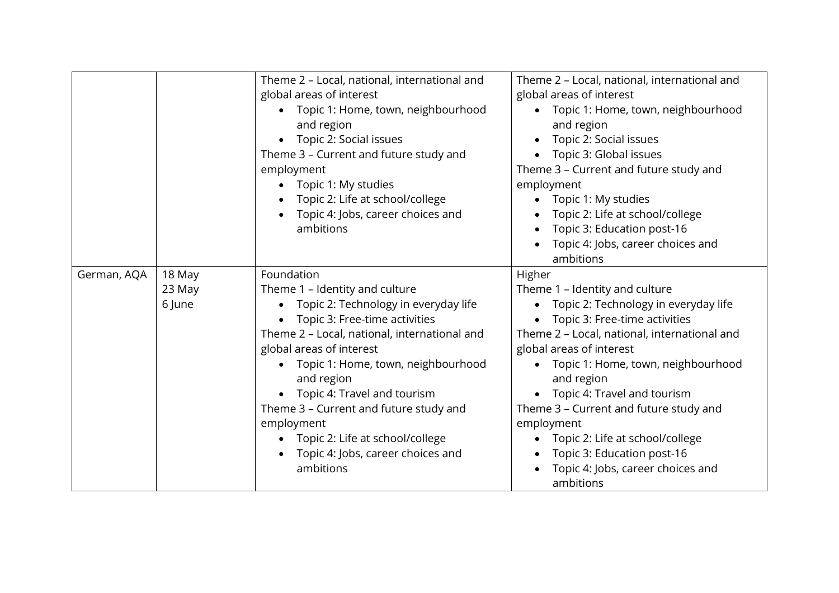|             |        | Theme 2 - Local, national, international and      | Theme 2 - Local, national, international and |
|-------------|--------|---------------------------------------------------|----------------------------------------------|
|             |        | global areas of interest                          | global areas of interest                     |
|             |        | Topic 1: Home, town, neighbourhood<br>$\bullet$   | • Topic 1: Home, town, neighbourhood         |
|             |        | and region                                        | and region                                   |
|             |        | Topic 2: Social issues<br>$\bullet$               | Topic 2: Social issues                       |
|             |        | Theme 3 - Current and future study and            | • Topic 3: Global issues                     |
|             |        | employment                                        | Theme 3 - Current and future study and       |
|             |        | Topic 1: My studies<br>$\bullet$                  | employment                                   |
|             |        | Topic 2: Life at school/college                   | Topic 1: My studies                          |
|             |        | Topic 4: Jobs, career choices and                 | Topic 2: Life at school/college              |
|             |        | ambitions                                         | Topic 3: Education post-16                   |
|             |        |                                                   | Topic 4: Jobs, career choices and            |
|             |        |                                                   | ambitions                                    |
| German, AQA | 18 May | Foundation                                        | Higher                                       |
|             | 23 May | Theme 1 - Identity and culture                    | Theme 1 - Identity and culture               |
|             | 6 June | Topic 2: Technology in everyday life<br>$\bullet$ | Topic 2: Technology in everyday life         |
|             |        | Topic 3: Free-time activities                     | Topic 3: Free-time activities                |
|             |        | Theme 2 - Local, national, international and      | Theme 2 - Local, national, international and |
|             |        | global areas of interest                          | global areas of interest                     |
|             |        | Topic 1: Home, town, neighbourhood<br>$\bullet$   | Topic 1: Home, town, neighbourhood           |
|             |        | and region                                        | and region                                   |
|             |        | Topic 4: Travel and tourism                       | Topic 4: Travel and tourism                  |
|             |        | Theme 3 - Current and future study and            | Theme 3 - Current and future study and       |
|             |        | employment                                        | employment                                   |
|             |        | Topic 2: Life at school/college<br>$\bullet$      | Topic 2: Life at school/college<br>$\bullet$ |
|             |        | Topic 4: Jobs, career choices and                 | Topic 3: Education post-16                   |
|             |        | ambitions                                         | Topic 4: Jobs, career choices and            |
|             |        |                                                   | ambitions                                    |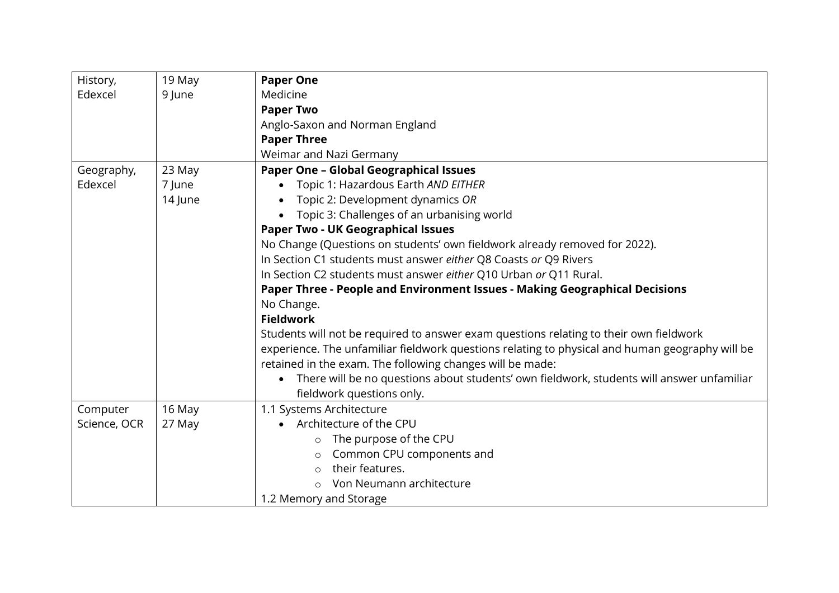| History,     | 19 May  | <b>Paper One</b>                                                                                |
|--------------|---------|-------------------------------------------------------------------------------------------------|
| Edexcel      | 9 June  | Medicine                                                                                        |
|              |         | <b>Paper Two</b>                                                                                |
|              |         | Anglo-Saxon and Norman England                                                                  |
|              |         | <b>Paper Three</b>                                                                              |
|              |         | Weimar and Nazi Germany                                                                         |
| Geography,   | 23 May  | <b>Paper One - Global Geographical Issues</b>                                                   |
| Edexcel      | 7 June  | Topic 1: Hazardous Earth AND EITHER<br>$\bullet$                                                |
|              | 14 June | Topic 2: Development dynamics OR                                                                |
|              |         | Topic 3: Challenges of an urbanising world                                                      |
|              |         | <b>Paper Two - UK Geographical Issues</b>                                                       |
|              |         | No Change (Questions on students' own fieldwork already removed for 2022).                      |
|              |         | In Section C1 students must answer either Q8 Coasts or Q9 Rivers                                |
|              |         | In Section C2 students must answer either Q10 Urban or Q11 Rural.                               |
|              |         | Paper Three - People and Environment Issues - Making Geographical Decisions                     |
|              |         | No Change.                                                                                      |
|              |         | <b>Fieldwork</b>                                                                                |
|              |         | Students will not be required to answer exam questions relating to their own fieldwork          |
|              |         | experience. The unfamiliar fieldwork questions relating to physical and human geography will be |
|              |         | retained in the exam. The following changes will be made:                                       |
|              |         | There will be no questions about students' own fieldwork, students will answer unfamiliar       |
|              |         | fieldwork questions only.                                                                       |
| Computer     | 16 May  | 1.1 Systems Architecture                                                                        |
| Science, OCR | 27 May  | • Architecture of the CPU                                                                       |
|              |         | The purpose of the CPU<br>$\circ$                                                               |
|              |         | Common CPU components and<br>$\circ$                                                            |
|              |         | their features.<br>$\bigcirc$                                                                   |
|              |         | Von Neumann architecture                                                                        |
|              |         | 1.2 Memory and Storage                                                                          |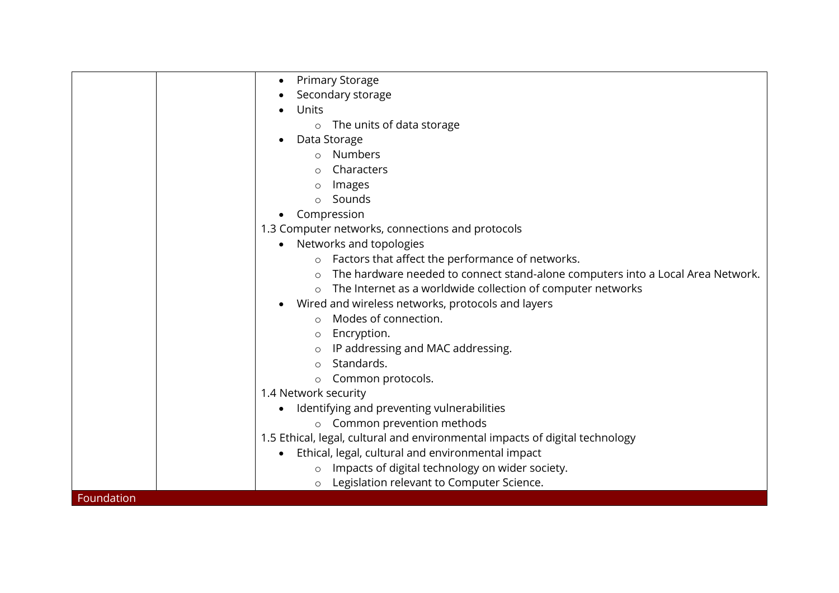|            | <b>Primary Storage</b>                                                          |
|------------|---------------------------------------------------------------------------------|
|            |                                                                                 |
|            | Secondary storage                                                               |
|            | Units                                                                           |
|            | The units of data storage<br>$\circ$                                            |
|            | Data Storage                                                                    |
|            | Numbers<br>$\circ$                                                              |
|            | Characters                                                                      |
|            | Images<br>$\circ$                                                               |
|            | Sounds                                                                          |
|            | Compression                                                                     |
|            | 1.3 Computer networks, connections and protocols                                |
|            | Networks and topologies                                                         |
|            | Factors that affect the performance of networks.<br>$\circ$                     |
|            | The hardware needed to connect stand-alone computers into a Local Area Network. |
|            | The Internet as a worldwide collection of computer networks<br>$\circ$          |
|            | Wired and wireless networks, protocols and layers                               |
|            | Modes of connection.<br>$\circ$                                                 |
|            | Encryption.<br>$\circ$                                                          |
|            | IP addressing and MAC addressing.                                               |
|            | Standards.                                                                      |
|            | Common protocols.<br>$\circ$                                                    |
|            | 1.4 Network security                                                            |
|            | Identifying and preventing vulnerabilities                                      |
|            | o Common prevention methods                                                     |
|            | 1.5 Ethical, legal, cultural and environmental impacts of digital technology    |
|            | Ethical, legal, cultural and environmental impact<br>$\bullet$                  |
|            | Impacts of digital technology on wider society.<br>$\circ$                      |
|            | Legislation relevant to Computer Science.                                       |
| Foundation | $\circ$                                                                         |
|            |                                                                                 |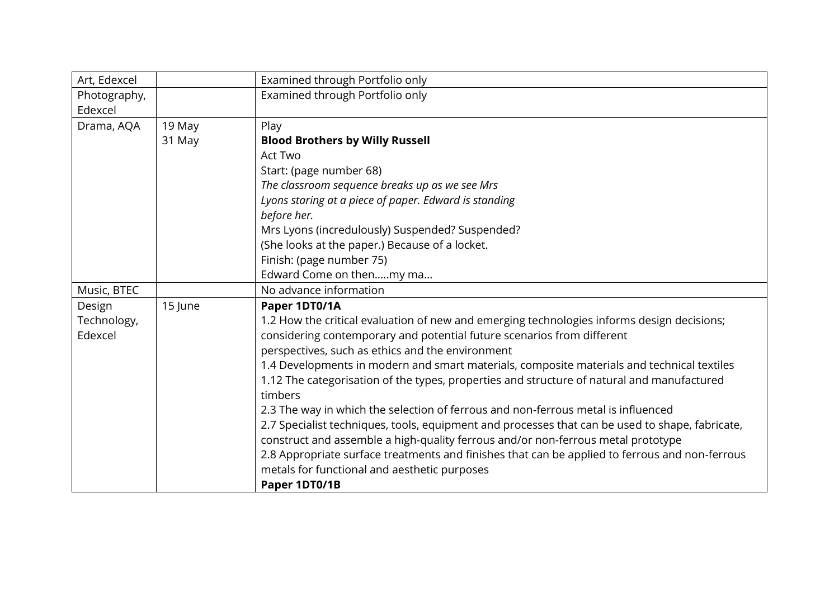| 1.2 How the critical evaluation of new and emerging technologies informs design decisions;      |
|-------------------------------------------------------------------------------------------------|
|                                                                                                 |
|                                                                                                 |
| 1.4 Developments in modern and smart materials, composite materials and technical textiles      |
| 1.12 The categorisation of the types, properties and structure of natural and manufactured      |
|                                                                                                 |
| 2.7 Specialist techniques, tools, equipment and processes that can be used to shape, fabricate, |
|                                                                                                 |
| 2.8 Appropriate surface treatments and finishes that can be applied to ferrous and non-ferrous  |
|                                                                                                 |
|                                                                                                 |
|                                                                                                 |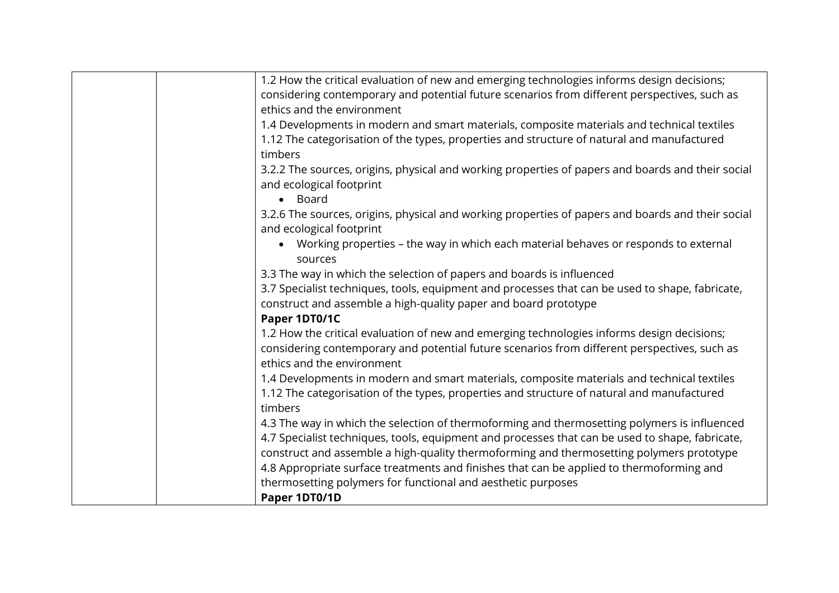| 1.2 How the critical evaluation of new and emerging technologies informs design decisions;                                    |
|-------------------------------------------------------------------------------------------------------------------------------|
| considering contemporary and potential future scenarios from different perspectives, such as                                  |
| ethics and the environment                                                                                                    |
| 1.4 Developments in modern and smart materials, composite materials and technical textiles                                    |
| 1.12 The categorisation of the types, properties and structure of natural and manufactured                                    |
| timbers                                                                                                                       |
| 3.2.2 The sources, origins, physical and working properties of papers and boards and their social                             |
| and ecological footprint                                                                                                      |
| • Board                                                                                                                       |
| 3.2.6 The sources, origins, physical and working properties of papers and boards and their social<br>and ecological footprint |
| • Working properties - the way in which each material behaves or responds to external<br>sources                              |
| 3.3 The way in which the selection of papers and boards is influenced                                                         |
| 3.7 Specialist techniques, tools, equipment and processes that can be used to shape, fabricate,                               |
| construct and assemble a high-quality paper and board prototype                                                               |
| Paper 1DT0/1C                                                                                                                 |
| 1.2 How the critical evaluation of new and emerging technologies informs design decisions;                                    |
| considering contemporary and potential future scenarios from different perspectives, such as                                  |
| ethics and the environment                                                                                                    |
| 1.4 Developments in modern and smart materials, composite materials and technical textiles                                    |
| 1.12 The categorisation of the types, properties and structure of natural and manufactured                                    |
| timbers                                                                                                                       |
| 4.3 The way in which the selection of thermoforming and thermosetting polymers is influenced                                  |
| 4.7 Specialist techniques, tools, equipment and processes that can be used to shape, fabricate,                               |
| construct and assemble a high-quality thermoforming and thermosetting polymers prototype                                      |
| 4.8 Appropriate surface treatments and finishes that can be applied to thermoforming and                                      |
| thermosetting polymers for functional and aesthetic purposes                                                                  |
| Paper 1DT0/1D                                                                                                                 |
|                                                                                                                               |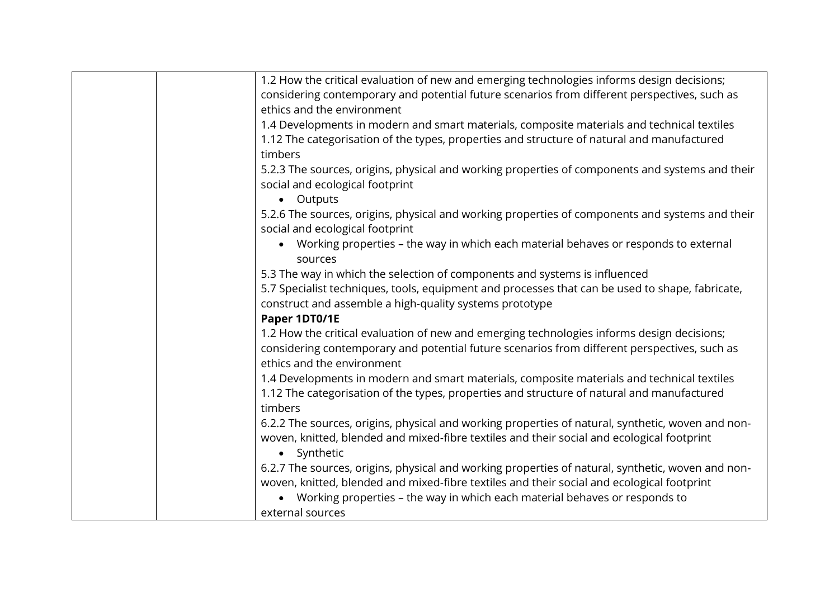| 1.2 How the critical evaluation of new and emerging technologies informs design decisions;                                         |
|------------------------------------------------------------------------------------------------------------------------------------|
| considering contemporary and potential future scenarios from different perspectives, such as                                       |
| ethics and the environment                                                                                                         |
| 1.4 Developments in modern and smart materials, composite materials and technical textiles                                         |
| 1.12 The categorisation of the types, properties and structure of natural and manufactured                                         |
| timbers                                                                                                                            |
| 5.2.3 The sources, origins, physical and working properties of components and systems and their                                    |
| social and ecological footprint                                                                                                    |
| • Outputs                                                                                                                          |
| 5.2.6 The sources, origins, physical and working properties of components and systems and their<br>social and ecological footprint |
| Working properties - the way in which each material behaves or responds to external<br>$\bullet$                                   |
| sources                                                                                                                            |
| 5.3 The way in which the selection of components and systems is influenced                                                         |
| 5.7 Specialist techniques, tools, equipment and processes that can be used to shape, fabricate,                                    |
| construct and assemble a high-quality systems prototype                                                                            |
| Paper 1DT0/1E                                                                                                                      |
| 1.2 How the critical evaluation of new and emerging technologies informs design decisions;                                         |
| considering contemporary and potential future scenarios from different perspectives, such as                                       |
| ethics and the environment                                                                                                         |
| 1.4 Developments in modern and smart materials, composite materials and technical textiles                                         |
| 1.12 The categorisation of the types, properties and structure of natural and manufactured                                         |
| timbers                                                                                                                            |
| 6.2.2 The sources, origins, physical and working properties of natural, synthetic, woven and non-                                  |
| woven, knitted, blended and mixed-fibre textiles and their social and ecological footprint<br>• Synthetic                          |
| 6.2.7 The sources, origins, physical and working properties of natural, synthetic, woven and non-                                  |
| woven, knitted, blended and mixed-fibre textiles and their social and ecological footprint                                         |
| Working properties – the way in which each material behaves or responds to                                                         |
| external sources                                                                                                                   |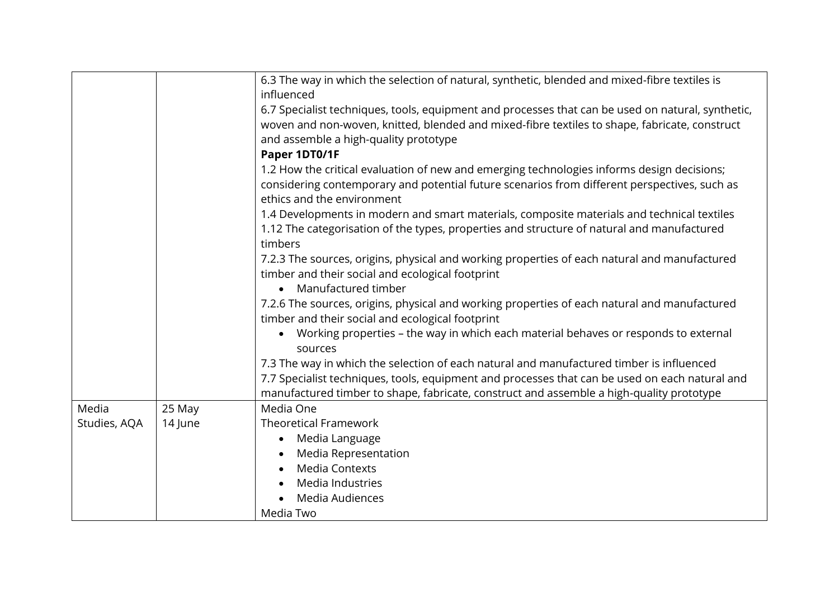|              |         | 6.3 The way in which the selection of natural, synthetic, blended and mixed-fibre textiles is<br>influenced                                                                                                                                 |
|--------------|---------|---------------------------------------------------------------------------------------------------------------------------------------------------------------------------------------------------------------------------------------------|
|              |         | 6.7 Specialist techniques, tools, equipment and processes that can be used on natural, synthetic,<br>woven and non-woven, knitted, blended and mixed-fibre textiles to shape, fabricate, construct<br>and assemble a high-quality prototype |
|              |         | Paper 1DT0/1F                                                                                                                                                                                                                               |
|              |         | 1.2 How the critical evaluation of new and emerging technologies informs design decisions;                                                                                                                                                  |
|              |         | considering contemporary and potential future scenarios from different perspectives, such as<br>ethics and the environment                                                                                                                  |
|              |         | 1.4 Developments in modern and smart materials, composite materials and technical textiles                                                                                                                                                  |
|              |         | 1.12 The categorisation of the types, properties and structure of natural and manufactured<br>timbers                                                                                                                                       |
|              |         | 7.2.3 The sources, origins, physical and working properties of each natural and manufactured<br>timber and their social and ecological footprint                                                                                            |
|              |         | Manufactured timber<br>$\bullet$                                                                                                                                                                                                            |
|              |         | 7.2.6 The sources, origins, physical and working properties of each natural and manufactured<br>timber and their social and ecological footprint                                                                                            |
|              |         | • Working properties - the way in which each material behaves or responds to external<br>sources                                                                                                                                            |
|              |         | 7.3 The way in which the selection of each natural and manufactured timber is influenced                                                                                                                                                    |
|              |         | 7.7 Specialist techniques, tools, equipment and processes that can be used on each natural and                                                                                                                                              |
|              |         | manufactured timber to shape, fabricate, construct and assemble a high-quality prototype                                                                                                                                                    |
| Media        | 25 May  | Media One                                                                                                                                                                                                                                   |
| Studies, AQA | 14 June | <b>Theoretical Framework</b>                                                                                                                                                                                                                |
|              |         | Media Language<br>$\bullet$                                                                                                                                                                                                                 |
|              |         | Media Representation                                                                                                                                                                                                                        |
|              |         | <b>Media Contexts</b>                                                                                                                                                                                                                       |
|              |         | Media Industries                                                                                                                                                                                                                            |
|              |         | Media Audiences                                                                                                                                                                                                                             |
|              |         | Media Two                                                                                                                                                                                                                                   |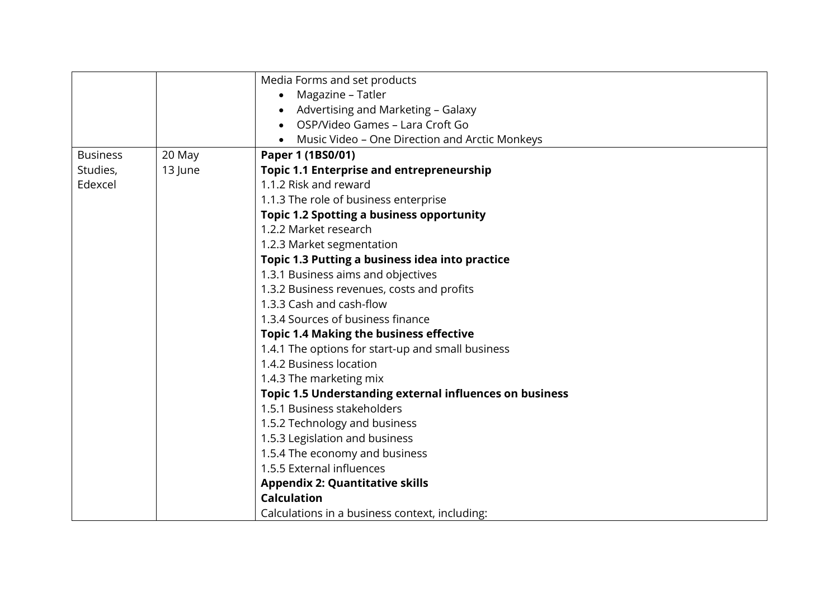|                 |         | Media Forms and set products                                   |
|-----------------|---------|----------------------------------------------------------------|
|                 |         | Magazine – Tatler<br>$\bullet$                                 |
|                 |         | Advertising and Marketing - Galaxy                             |
|                 |         | OSP/Video Games - Lara Croft Go                                |
|                 |         | Music Video – One Direction and Arctic Monkeys                 |
| <b>Business</b> | 20 May  | Paper 1 (1BS0/01)                                              |
| Studies,        | 13 June | <b>Topic 1.1 Enterprise and entrepreneurship</b>               |
| Edexcel         |         | 1.1.2 Risk and reward                                          |
|                 |         | 1.1.3 The role of business enterprise                          |
|                 |         | <b>Topic 1.2 Spotting a business opportunity</b>               |
|                 |         | 1.2.2 Market research                                          |
|                 |         | 1.2.3 Market segmentation                                      |
|                 |         | Topic 1.3 Putting a business idea into practice                |
|                 |         | 1.3.1 Business aims and objectives                             |
|                 |         | 1.3.2 Business revenues, costs and profits                     |
|                 |         | 1.3.3 Cash and cash-flow                                       |
|                 |         | 1.3.4 Sources of business finance                              |
|                 |         | <b>Topic 1.4 Making the business effective</b>                 |
|                 |         | 1.4.1 The options for start-up and small business              |
|                 |         | 1.4.2 Business location                                        |
|                 |         | 1.4.3 The marketing mix                                        |
|                 |         | <b>Topic 1.5 Understanding external influences on business</b> |
|                 |         | 1.5.1 Business stakeholders                                    |
|                 |         | 1.5.2 Technology and business                                  |
|                 |         | 1.5.3 Legislation and business                                 |
|                 |         | 1.5.4 The economy and business                                 |
|                 |         | 1.5.5 External influences                                      |
|                 |         | <b>Appendix 2: Quantitative skills</b>                         |
|                 |         | <b>Calculation</b>                                             |
|                 |         | Calculations in a business context, including:                 |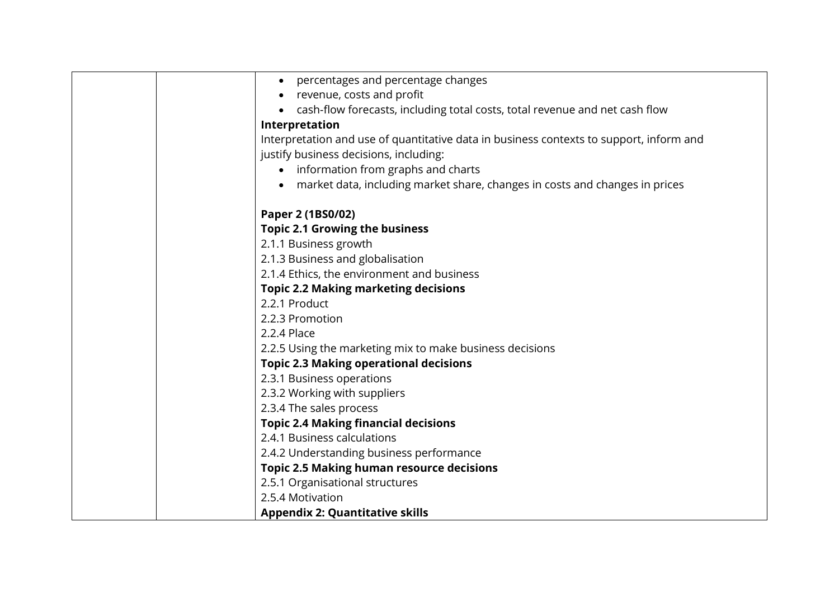| percentages and percentage changes                                                      |
|-----------------------------------------------------------------------------------------|
| revenue, costs and profit                                                               |
| cash-flow forecasts, including total costs, total revenue and net cash flow             |
| Interpretation                                                                          |
| Interpretation and use of quantitative data in business contexts to support, inform and |
| justify business decisions, including:                                                  |
| information from graphs and charts                                                      |
| • market data, including market share, changes in costs and changes in prices           |
| Paper 2 (1BS0/02)                                                                       |
| <b>Topic 2.1 Growing the business</b>                                                   |
| 2.1.1 Business growth                                                                   |
| 2.1.3 Business and globalisation                                                        |
| 2.1.4 Ethics, the environment and business                                              |
| <b>Topic 2.2 Making marketing decisions</b>                                             |
| 2.2.1 Product                                                                           |
| 2.2.3 Promotion                                                                         |
| 2.2.4 Place                                                                             |
| 2.2.5 Using the marketing mix to make business decisions                                |
| <b>Topic 2.3 Making operational decisions</b>                                           |
| 2.3.1 Business operations                                                               |
| 2.3.2 Working with suppliers                                                            |
| 2.3.4 The sales process                                                                 |
| <b>Topic 2.4 Making financial decisions</b>                                             |
| 2.4.1 Business calculations                                                             |
| 2.4.2 Understanding business performance                                                |
| <b>Topic 2.5 Making human resource decisions</b>                                        |
| 2.5.1 Organisational structures                                                         |
| 2.5.4 Motivation                                                                        |
| <b>Appendix 2: Quantitative skills</b>                                                  |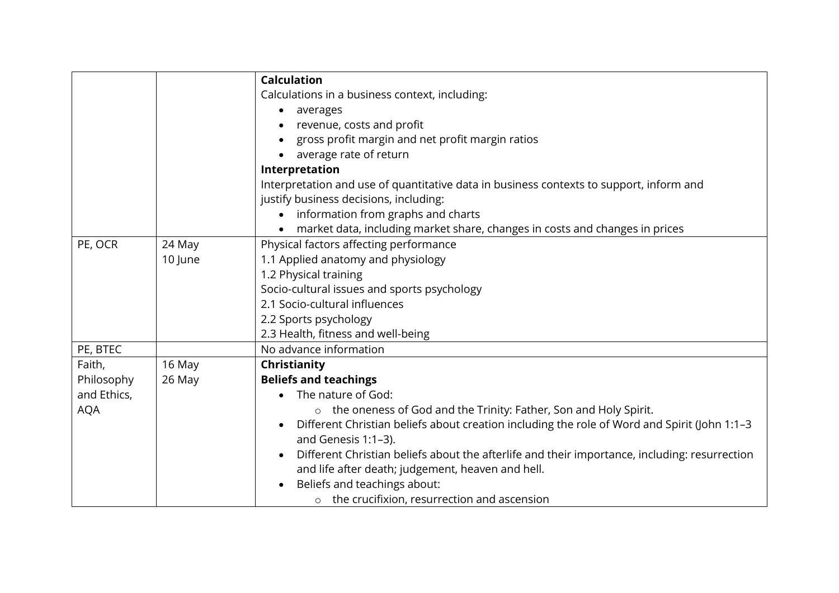|             |         | <b>Calculation</b>                                                                                        |
|-------------|---------|-----------------------------------------------------------------------------------------------------------|
|             |         | Calculations in a business context, including:                                                            |
|             |         | averages<br>٠                                                                                             |
|             |         | revenue, costs and profit                                                                                 |
|             |         | gross profit margin and net profit margin ratios                                                          |
|             |         | average rate of return                                                                                    |
|             |         | Interpretation                                                                                            |
|             |         | Interpretation and use of quantitative data in business contexts to support, inform and                   |
|             |         | justify business decisions, including:                                                                    |
|             |         | information from graphs and charts<br>$\bullet$                                                           |
|             |         | market data, including market share, changes in costs and changes in prices                               |
| PE, OCR     | 24 May  | Physical factors affecting performance                                                                    |
|             | 10 June | 1.1 Applied anatomy and physiology                                                                        |
|             |         | 1.2 Physical training                                                                                     |
|             |         | Socio-cultural issues and sports psychology                                                               |
|             |         | 2.1 Socio-cultural influences                                                                             |
|             |         | 2.2 Sports psychology                                                                                     |
|             |         | 2.3 Health, fitness and well-being                                                                        |
| PE, BTEC    |         | No advance information                                                                                    |
| Faith,      | 16 May  | Christianity                                                                                              |
| Philosophy  | 26 May  | <b>Beliefs and teachings</b>                                                                              |
| and Ethics, |         | The nature of God:<br>$\bullet$                                                                           |
| <b>AQA</b>  |         | o the oneness of God and the Trinity: Father, Son and Holy Spirit.                                        |
|             |         | Different Christian beliefs about creation including the role of Word and Spirit (John 1:1-3<br>$\bullet$ |
|             |         | and Genesis 1:1-3).                                                                                       |
|             |         | Different Christian beliefs about the afterlife and their importance, including: resurrection             |
|             |         | and life after death; judgement, heaven and hell.                                                         |
|             |         | Beliefs and teachings about:                                                                              |
|             |         | $\circ$ the crucifixion, resurrection and ascension                                                       |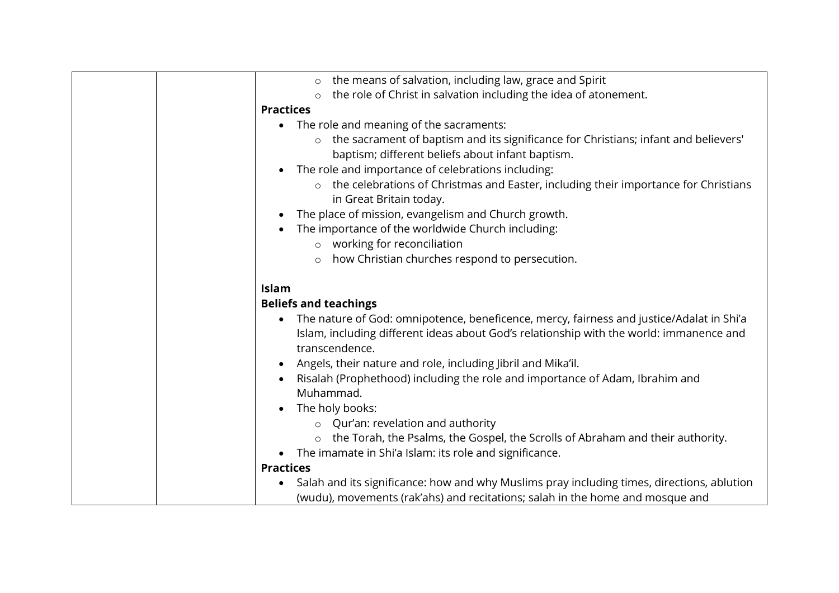| the means of salvation, including law, grace and Spirit<br>$\circ$                                    |
|-------------------------------------------------------------------------------------------------------|
| the role of Christ in salvation including the idea of atonement.                                      |
| <b>Practices</b>                                                                                      |
| The role and meaning of the sacraments:<br>$\bullet$                                                  |
| o the sacrament of baptism and its significance for Christians; infant and believers'                 |
| baptism; different beliefs about infant baptism.                                                      |
| The role and importance of celebrations including:<br>$\bullet$                                       |
| o the celebrations of Christmas and Easter, including their importance for Christians                 |
| in Great Britain today.                                                                               |
| The place of mission, evangelism and Church growth.                                                   |
| The importance of the worldwide Church including:                                                     |
| o working for reconciliation                                                                          |
| how Christian churches respond to persecution.<br>$\circ$                                             |
|                                                                                                       |
| Islam                                                                                                 |
| <b>Beliefs and teachings</b>                                                                          |
| The nature of God: omnipotence, beneficence, mercy, fairness and justice/Adalat in Shi'a<br>$\bullet$ |
| Islam, including different ideas about God's relationship with the world: immanence and               |
| transcendence.                                                                                        |
| Angels, their nature and role, including Jibril and Mika'il.                                          |
| Risalah (Prophethood) including the role and importance of Adam, Ibrahim and                          |
| Muhammad.                                                                                             |
| The holy books:                                                                                       |
| Qur'an: revelation and authority<br>$\circ$                                                           |
| the Torah, the Psalms, the Gospel, the Scrolls of Abraham and their authority.                        |
| The imamate in Shi'a Islam: its role and significance.                                                |
| <b>Practices</b>                                                                                      |
| Salah and its significance: how and why Muslims pray including times, directions, ablution            |
| (wudu), movements (rak'ahs) and recitations; salah in the home and mosque and                         |